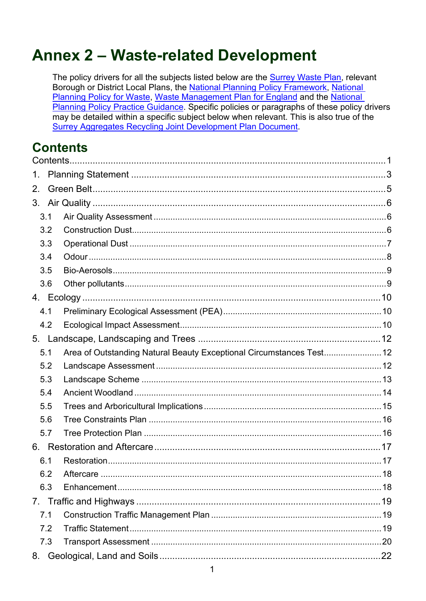# **Annex 2 - Waste-related Development**

The policy drivers for all the subjects listed below are the Surrey Waste Plan, relevant Borough or District Local Plans, the National Planning Policy Framework, National Planning Policy for Waste, Waste Management Plan for England and the National Planning Policy Practice Guidance. Specific policies or paragraphs of these policy drivers may be detailed within a specific subject below when relevant. This is also true of the **Surrey Aggregates Recycling Joint Development Plan Document.** 

# <span id="page-0-0"></span>**Contents**

| 1.  |                                                                      |  |
|-----|----------------------------------------------------------------------|--|
| 2.  |                                                                      |  |
|     |                                                                      |  |
| 3.1 |                                                                      |  |
| 3.2 |                                                                      |  |
| 3.3 |                                                                      |  |
| 3.4 |                                                                      |  |
| 3.5 |                                                                      |  |
| 3.6 |                                                                      |  |
|     |                                                                      |  |
| 4.1 |                                                                      |  |
| 4.2 |                                                                      |  |
|     |                                                                      |  |
| 5.1 | Area of Outstanding Natural Beauty Exceptional Circumstances Test 12 |  |
| 5.2 |                                                                      |  |
| 5.3 |                                                                      |  |
| 5.4 |                                                                      |  |
| 5.5 |                                                                      |  |
| 5.6 |                                                                      |  |
| 5.7 |                                                                      |  |
|     |                                                                      |  |
| 6.1 |                                                                      |  |
| 62  | Aftercare                                                            |  |
| 6.3 |                                                                      |  |
|     |                                                                      |  |
| 7.1 |                                                                      |  |
| 7.2 |                                                                      |  |
| 7.3 |                                                                      |  |
| 8.  |                                                                      |  |
|     |                                                                      |  |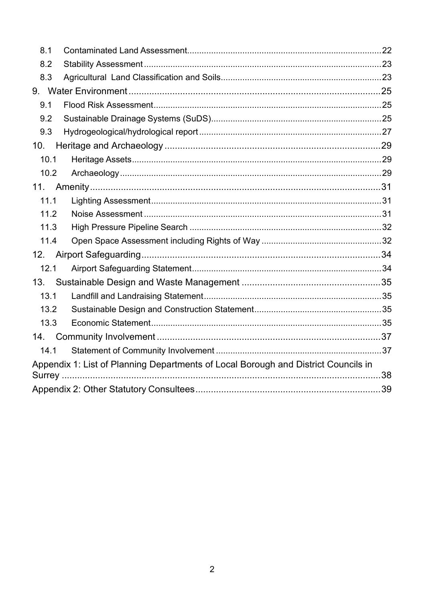| 8.1                                                                                |  |  |
|------------------------------------------------------------------------------------|--|--|
| 8.2                                                                                |  |  |
| 8.3                                                                                |  |  |
|                                                                                    |  |  |
| 9.1                                                                                |  |  |
| 9.2                                                                                |  |  |
| 9.3                                                                                |  |  |
| 10.                                                                                |  |  |
| 10.1                                                                               |  |  |
| 10.2                                                                               |  |  |
| 11.                                                                                |  |  |
| 11.1                                                                               |  |  |
| 11.2                                                                               |  |  |
| 11.3                                                                               |  |  |
| 11.4                                                                               |  |  |
| 12.                                                                                |  |  |
| 12.1                                                                               |  |  |
| 13.                                                                                |  |  |
| 13.1                                                                               |  |  |
| 13.2                                                                               |  |  |
| 13.3                                                                               |  |  |
| 14.                                                                                |  |  |
| 14.1                                                                               |  |  |
| Appendix 1: List of Planning Departments of Local Borough and District Councils in |  |  |
|                                                                                    |  |  |
|                                                                                    |  |  |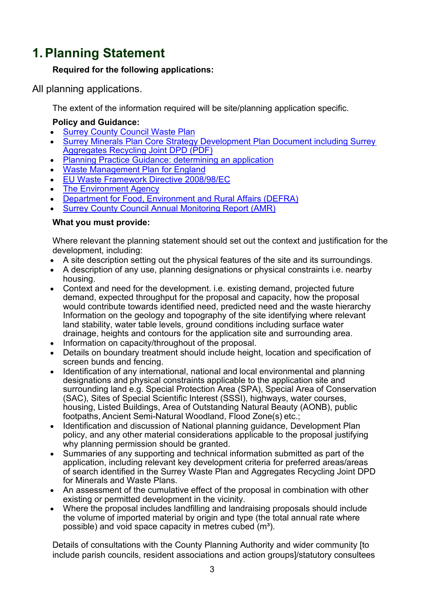# <span id="page-2-0"></span>**1.Planning Statement**

#### **Required for the following applications:**

All planning applications.

The extent of the information required will be site/planning application specific.

## **Policy and Guidance:**

- [Surrey County Council Waste Plan](https://www.surreycc.gov.uk/land-planning-and-development/minerals-and-waste/waste-plan)
- [Surrey Minerals Plan Core Strategy Development Plan Document including Surrey](https://www.surreycc.gov.uk/__data/assets/pdf_file/0007/81439/Adopted-Core-Strategy-Development-Plan-Document.pdf)  [Aggregates Recycling Joint DPD](https://www.surreycc.gov.uk/__data/assets/pdf_file/0007/81439/Adopted-Core-Strategy-Development-Plan-Document.pdf) (PDF)
- [Planning Practice Guidance: determining an application](https://www.gov.uk/guidance/determining-a-planning-application)
- [Waste Management Plan for England](https://www.gov.uk/government/publications/waste-management-plan-for-england)
- [EU Waste Framework Directive 2008/98/EC](http://ec.europa.eu/environment/waste/framework/)
- [The Environment Agency](https://www.gov.uk/government/organisations/environment-agency)
- [Department for Food, Environment and Rural Affairs \(DEFRA\)](https://www.gov.uk/government/organisations/department-for-environment-food-rural-affairs)
- **[Surrey County Council Annual Monitoring Report \(AMR\)](https://www.surreycc.gov.uk/land-planning-and-development/minerals-and-waste/performance-monitoring)**

#### **What you must provide:**

Where relevant the planning statement should set out the context and justification for the development, including:

- A site description setting out the physical features of the site and its surroundings.
- A description of any use, planning designations or physical constraints i.e. nearby housing.
- Context and need for the development. i.e. existing demand, projected future demand, expected throughput for the proposal and capacity, how the proposal would contribute towards identified need, predicted need and the waste hierarchy Information on the geology and topography of the site identifying where relevant land stability, water table levels, ground conditions including surface water drainage, heights and contours for the application site and surrounding area.
- Information on capacity/throughout of the proposal.
- Details on boundary treatment should include height, location and specification of screen bunds and fencing.
- Identification of any international, national and local environmental and planning designations and physical constraints applicable to the application site and surrounding land e.g. Special Protection Area (SPA), Special Area of Conservation (SAC), Sites of Special Scientific Interest (SSSI), highways, water courses, housing, Listed Buildings, Area of Outstanding Natural Beauty (AONB), public footpaths, Ancient Semi-Natural Woodland, Flood Zone(s) etc.;
- Identification and discussion of National planning guidance, Development Plan policy, and any other material considerations applicable to the proposal justifying why planning permission should be granted.
- Summaries of any supporting and technical information submitted as part of the application, including relevant key development criteria for preferred areas/areas of search identified in the Surrey Waste Plan and Aggregates Recycling Joint DPD for Minerals and Waste Plans.
- An assessment of the cumulative effect of the proposal in combination with other existing or permitted development in the vicinity.
- Where the proposal includes landfilling and landraising proposals should include the volume of imported material by origin and type (the total annual rate where possible) and void space capacity in metres cubed  $(m<sup>3</sup>)$ .

Details of consultations with the County Planning Authority and wider community [to include parish councils, resident associations and action groups]/statutory consultees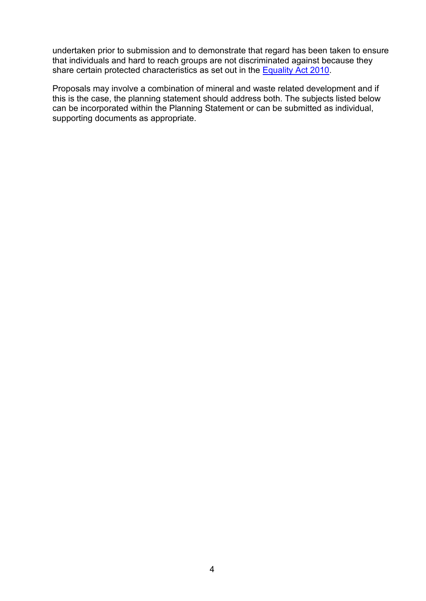undertaken prior to submission and to demonstrate that regard has been taken to ensure that individuals and hard to reach groups are not discriminated against because they share certain protected characteristics as set out in the [Equality Act 2010.](https://www.surreycc.gov.uk/council-and-democracy/finance-and-performance/equality-and-diversity/the-equality-act-2010)

Proposals may involve a combination of mineral and waste related development and if this is the case, the planning statement should address both. The subjects listed below can be incorporated within the Planning Statement or can be submitted as individual, supporting documents as appropriate.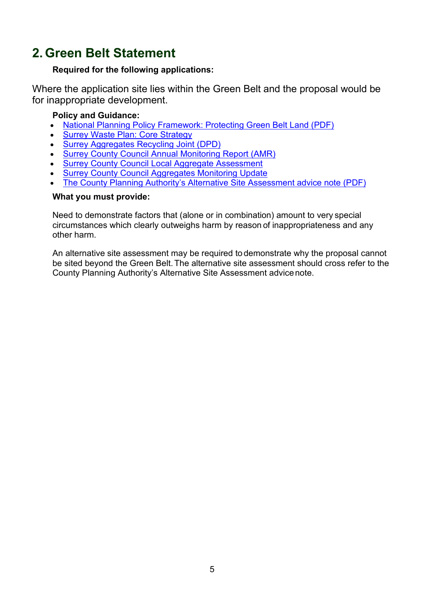# <span id="page-4-0"></span>**2. Green Belt Statement**

#### **Required for the following applications:**

Where the application site lies within the Green Belt and the proposal would be for inappropriate development.

#### **Policy and Guidance:**

- [National Planning Policy Framework: Protecting Green Belt Land \(PDF\)](https://assets.publishing.service.gov.uk/government/uploads/system/uploads/attachment_data/file/810197/NPPF_Feb_2019_revised.pdf)
- [Surrey Waste Plan: Core Strategy](https://www.surreycc.gov.uk/land-planning-and-development/minerals-and-waste/waste-plan)
- [Surrey Aggregates Recycling Joint \(DPD\)](https://www.surreycc.gov.uk/land-planning-and-development/minerals-and-waste/aggregates-recycling-joint-development-plan)
- [Surrey County Council Annual Monitoring Report \(AMR\)](https://www.surreycc.gov.uk/land-planning-and-development/minerals-and-waste/performance-monitoring)
- [Surrey County Council Local Aggregate Assessment](https://www.surreycc.gov.uk/land-planning-and-development/minerals-and-waste/performance-monitoring)
- [Surrey County Council Aggregates Monitoring Update](https://www.surreycc.gov.uk/land-planning-and-development/minerals-and-waste/performance-monitoring)
- [The County Planning Authority's Alternative Site Assessment advice note \(PDF\)](https://www.surreycc.gov.uk/__data/assets/pdf_file/0008/71747/AlternativeSiteAssessmentNote.pdf)

#### **What you must provide:**

Need to demonstrate factors that (alone or in combination) amount to very special circumstances which clearly outweighs harm by reason of inappropriateness and any other harm.

An alternative site assessment may be required to demonstrate why the proposal cannot be sited beyond the Green Belt.The alternative site assessment should cross refer to the County Planning Authority's Alternative Site Assessment advicenote.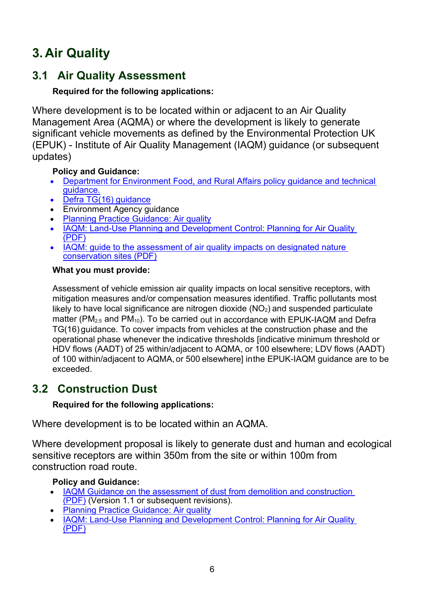# <span id="page-5-0"></span>**3. Air Quality**

# <span id="page-5-1"></span>**3.1 Air Quality Assessment**

## **Required for the following applications:**

Where development is to be located within or adjacent to an Air Quality Management Area (AQMA) or where the development is likely to generate significant vehicle movements as defined by the Environmental Protection UK (EPUK) - Institute of Air Quality Management (IAQM) guidance (or subsequent updates)

## **Policy and Guidance:**

- [Department for Environment Food,](http://www.defra.gov.uk/environment/quality/air/air-quality/laqm/guidance/) [and Rural Affairs policy guidance](http://www.defra.gov.uk/environment/quality/air/air-quality/laqm/guidance/) [and technical](http://www.defra.gov.uk/environment/quality/air/air-quality/laqm/guidance/)  [guidance.](http://www.defra.gov.uk/environment/quality/air/air-quality/laqm/guidance/)
- [Defra TG\(16\) guidance](https://laqm.defra.gov.uk/technical-guidance/)
- Environment Agency guidance
- [Planning Practice Guidance: Air quality](https://www.gov.uk/guidance/air-quality--3)
- [IAQM: Land-Use Planning and Development Control: Planning for Air Quality](http://www.iaqm.co.uk/text/guidance/air-quality-planning-guidance.pdf) (PDF)
- IAQM: guide to the assessment of air quality impacts on designated nature conservation sites (PDF)

## **What you must provide:**

Assessment of vehicle emission air quality impacts on local sensitive receptors, with mitigation measures and/or compensation measures identified. Traffic pollutants most likely to have local significance are nitrogen dioxide  $(NO<sub>2</sub>)$  and suspended particulate matter ( $PM_{2.5}$  and  $PM_{10}$ ). To be carried out in accordance with EPUK-IAQM and Defra TG(16) guidance. To cover impacts from vehicles at the construction phase and the operational phase whenever the indicative thresholds [indicative minimum threshold or HDV flows (AADT) of 25 within/adjacent to AQMA, or 100 elsewhere; LDV flows (AADT) of 100 within/adjacent to AQMA, or 500 elsewhere] inthe EPUK-IAQM guidance are to be exceeded.

# <span id="page-5-2"></span>**3.2 Construction Dust**

## **Required for the following applications:**

Where development is to be located within an AQMA.

Where development proposal is likely to generate dust and human and ecological sensitive receptors are within 350m from the site or within 100m from construction road route.

## **Policy and Guidance:**

- IAQM Guidance on the assessment of dust from demolition and construction (PDF) (Version 1.1 or subsequent revisions).
- [Planning Practice Guidance: Air quality](https://www.gov.uk/guidance/air-quality--3)
- [IAQM: Land-Use Planning and Development Control: Planning for Air Quality](http://www.iaqm.co.uk/text/guidance/air-quality-planning-guidance.pdf)  [\(PDF\)](http://www.iaqm.co.uk/text/guidance/air-quality-planning-guidance.pdf)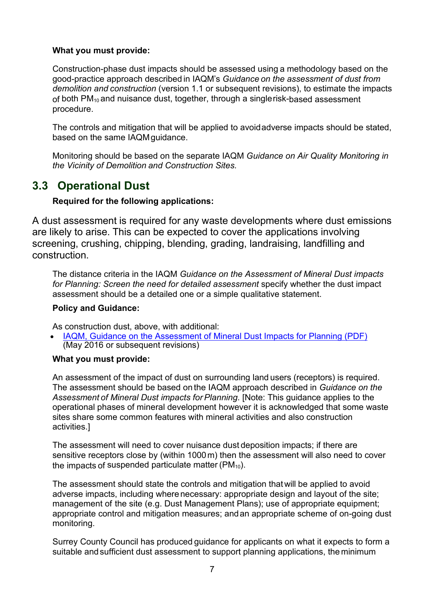#### **What you must provide:**

Construction-phase dust impacts should be assessed using a methodology based on the good-practice approach described in IAQM's *Guidance on the assessment of dust from demolition and construction* (version 1.1 or subsequent revisions), to estimate the impacts of both PM<sub>10</sub> and nuisance dust, together, through a singlerisk-based assessment procedure.

The controls and mitigation that will be applied to avoidadverse impacts should be stated, based on the same IAQMguidance.

Monitoring should be based on the separate IAQM *Guidance on Air Quality Monitoring in the Vicinity of Demolition and Construction Sites.*

# <span id="page-6-0"></span>**3.3 Operational Dust**

#### **Required for the following applications:**

A dust assessment is required for any waste developments where dust emissions are likely to arise. This can be expected to cover the applications involving screening, crushing, chipping, blending, grading, landraising, landfilling and construction.

The distance criteria in the IAQM *Guidance on the Assessment of Mineral Dust impacts for Planning: Screen the need for detailed assessment* specify whether the dust impact assessment should be a detailed one or a simple qualitative statement.

#### **Policy and Guidance:**

As construction dust, above, with additional:

• [IAQM, Guidance on the Assessment of Mineral Dust Impacts for Planning \(PDF\)](http://iaqm.co.uk/text/guidance/mineralsguidance_2016.pdf) (May 2016 or subsequent revisions)

#### **What you must provide:**

An assessment of the impact of dust on surrounding land users (receptors) is required. The assessment should be based on the IAQM approach described in *Guidance on the Assessment of Mineral Dust impacts forPlanning*. [Note: This guidance applies to the operational phases of mineral development however it is acknowledged that some waste sites share some common features with mineral activities and also construction activities.]

The assessment will need to cover nuisance dust deposition impacts; if there are sensitive receptors close by (within 1000m) then the assessment will also need to cover the impacts of suspended particulate matter  $(PM_{10})$ .

The assessment should state the controls and mitigation thatwill be applied to avoid adverse impacts, including wherenecessary: appropriate design and layout of the site; management of the site (e.g. Dust Management Plans); use of appropriate equipment; appropriate control and mitigation measures; andan appropriate scheme of on-going dust monitoring.

Surrey County Council has produced guidance for applicants on what it expects to form a suitable andsufficient dust assessment to support planning applications, the minimum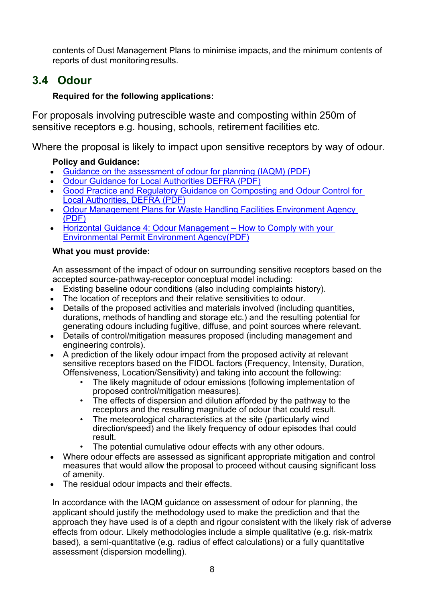contents of Dust Management Plans to minimise impacts, and the minimum contents of reports of dust monitoring results.

# <span id="page-7-0"></span>**3.4 Odour**

## **Required for the following applications:**

For proposals involving putrescible waste and composting within 250m of sensitive receptors e.g. housing, schools, retirement facilities etc.

Where the proposal is likely to impact upon sensitive receptors by way of odour.

## **Policy and Guidance:**

- [Guidance on the assessment of odour for planning \(IAQM\) \(PDF\)](http://www.iaqm.co.uk/text/guidance/odour-guidance-2014.pdf)
- [Odour Guidance for Local Authorities DEFRA \(PDF\)](https://www.gov.uk/government/uploads/system/uploads/attachment_data/file/69305/pb13554-local-auth-guidance-100326.pdf)
- [Good Practice and Regulatory Guidance on Composting and Odour Control for](https://mma.gob.cl/wp-content/uploads/2017/06/Good-Practice-and-Regulatory-Guidance-on-Composting-and-Odour-Control-for-Local-Authorities.pdf)  [Local Authorities, DEFRA \(PDF\)](https://mma.gob.cl/wp-content/uploads/2017/06/Good-Practice-and-Regulatory-Guidance-on-Composting-and-Odour-Control-for-Local-Authorities.pdf)
- [Odour Management Plans for Waste Handling Facilities Environment Agency](https://www.aquaenviro.co.uk/wp-content/uploads/2018/08/44-Nick-Sauer.pdf) [\(PDF\)](https://www.aquaenviro.co.uk/wp-content/uploads/2018/08/44-Nick-Sauer.pdf)
- **[Horizontal Guidance 4: Odour Management –](https://assets.publishing.service.gov.uk/government/uploads/system/uploads/attachment_data/file/296737/geho0411btqm-e-e.pdf) How to Comply with your** [Environmental Permit Environment Agency\(PDF\)](https://assets.publishing.service.gov.uk/government/uploads/system/uploads/attachment_data/file/296737/geho0411btqm-e-e.pdf)

## **What you must provide:**

An assessment of the impact of odour on surrounding sensitive receptors based on the accepted source-pathway-receptor conceptual model including:

- Existing baseline odour conditions (also including complaints history).
- The location of receptors and their relative sensitivities to odour.
- Details of the proposed activities and materials involved (including quantities, durations, methods of handling and storage etc.) and the resulting potential for generating odours including fugitive, diffuse, and point sources where relevant.
- Details of control/mitigation measures proposed (including management and engineering controls).
- A prediction of the likely odour impact from the proposed activity at relevant sensitive receptors based on the FIDOL factors (Frequency, Intensity, Duration, Offensiveness, Location/Sensitivity) and taking into account the following:
	- The likely magnitude of odour emissions (following implementation of proposed control/mitigation measures).
	- The effects of dispersion and dilution afforded by the pathway to the receptors and the resulting magnitude of odour that could result.
	- The meteorological characteristics at the site (particularly wind direction/speed) and the likely frequency of odour episodes that could result.
	- The potential cumulative odour effects with any other odours.
- Where odour effects are assessed as significant appropriate mitigation and control measures that would allow the proposal to proceed without causing significant loss of amenity.
- The residual odour impacts and their effects.

In accordance with the IAQM guidance on assessment of odour for planning, the applicant should justify the methodology used to make the prediction and that the approach they have used is of a depth and rigour consistent with the likely risk of adverse effects from odour. Likely methodologies include a simple qualitative (e.g. risk-matrix based), a semi-quantitative (e.g. radius of effect calculations) or a fully quantitative assessment (dispersion modelling).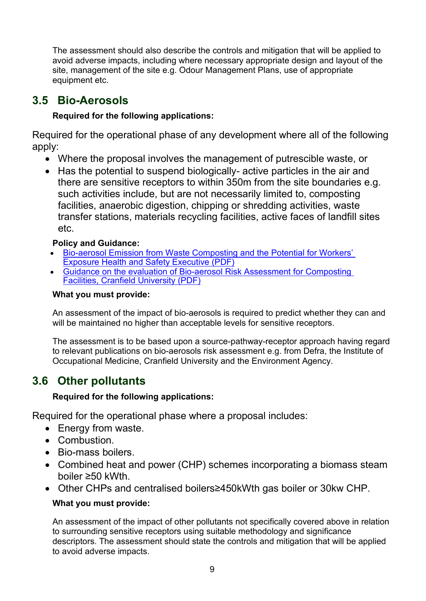The assessment should also describe the controls and mitigation that will be applied to avoid adverse impacts, including where necessary appropriate design and layout of the site, management of the site e.g. Odour Management Plans, use of appropriate equipment etc.

# <span id="page-8-0"></span>**3.5 Bio-Aerosols**

## **Required for the following applications:**

Required for the operational phase of any development where all of the following apply:

- Where the proposal involves the management of putrescible waste, or
- Has the potential to suspend biologically- active particles in the air and there are sensitive receptors to within 350m from the site boundaries e.g. such activities include, but are not necessarily limited to, composting facilities, anaerobic digestion, chipping or shredding activities, waste transfer stations, materials recycling facilities, active faces of landfill sites etc.

## **Policy and Guidance:**

- [Bio-aerosol Emission from Waste Composting and the Potential for Workers'](http://www.hse.gov.uk/research/rrpdf/rr786.pdf)  [Exposure Health and Safety Executive \(PDF\)](http://www.hse.gov.uk/research/rrpdf/rr786.pdf)
- [Guidance on the evaluation of Bio-aerosol Risk Assessment for Composting](https://core.ac.uk/download/pdf/140470.pdf)  [Facilities, Cranfield University \(PDF\)](https://core.ac.uk/download/pdf/140470.pdf)

#### **What you must provide:**

An assessment of the impact of bio-aerosols is required to predict whether they can and will be maintained no higher than acceptable levels for sensitive receptors.

The assessment is to be based upon a source-pathway-receptor approach having regard to relevant publications on bio-aerosols risk assessment e.g. from Defra, the Institute of Occupational Medicine, Cranfield University and the Environment Agency.

# <span id="page-8-1"></span>**3.6 Other pollutants**

## **Required for the following applications:**

Required for the operational phase where a proposal includes:

- Energy from waste.
- Combustion.
- Bio-mass boilers.
- Combined heat and power (CHP) schemes incorporating a biomass steam boiler ≥50 kWth.
- Other CHPs and centralised boilers≥450kWth gas boiler or 30kw CHP.

## **What you must provide:**

An assessment of the impact of other pollutants not specifically covered above in relation to surrounding sensitive receptors using suitable methodology and significance descriptors. The assessment should state the controls and mitigation that will be applied to avoid adverse impacts.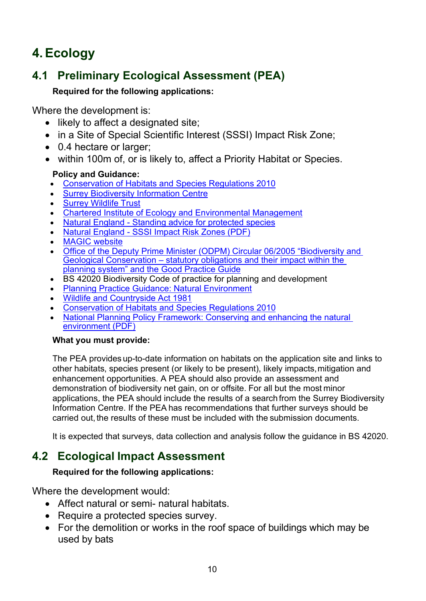# <span id="page-9-0"></span>**4.Ecology**

# <span id="page-9-1"></span>**4.1 Preliminary Ecological Assessment (PEA)**

## **Required for the following applications:**

Where the development is:

- likely to affect a designated site;
- in a Site of Special Scientific Interest (SSSI) Impact Risk Zone;
- 0.4 hectare or larger:
- within 100m of, or is likely to, affect a Priority Habitat or Species.

## **Policy and Guidance:**

- [Conservation of Habitats and Species Regulations 2010](http://www.legislation.gov.uk/uksi/2010/490/contents/made)
- [Surrey Biodiversity Information Centre](http://www.surreywildlifetrust.org/sbic)
- [Surrey Wildlife Trust](http://www.surreywildlifetrust.org/)
- [Chartered Institute of Ecology and Environmental Management](http://www.cieem.net/)
- Natural England [Standing advice for protected species](http://www.naturalengland.org.uk/ourwork/planningdevelopment/spatialplanning/standingadvice/default.aspx)
- Natural England [SSSI Impact Risk Zones \(PDF\)](https://magic.defra.gov.uk/Metadata_for_magic/SSSI%20IRZ%20User%20Guidance%20MAGIC.pdf)
- [MAGIC website](http://www.magic.gov.uk/)
- [Office of the Deputy Prime Minister \(ODPM\) Circular 06/2005 "Biodiversity and](https://www.gov.uk/government/publications/biodiversity-and-geological-conservation-circular-06-2005)  Geological Conservation – [statutory obligations and their impact within the](https://www.gov.uk/government/publications/biodiversity-and-geological-conservation-circular-06-2005)  [planning system" and the Good Practice Guide](https://www.gov.uk/government/publications/biodiversity-and-geological-conservation-circular-06-2005)
- BS 42020 Biodiversity Code of practice for planning and development
- [Planning Practice Guidance: Natural Environment](https://www.gov.uk/guidance/natural-environment)
- [Wildlife and Countryside Act 1981](http://www.legislation.gov.uk/ukpga/1981/69)
- [Conservation of Habitats and Species Regulations 2010](http://www.legislation.gov.uk/uksi/2010/490/contents/made)
- National Planning Policy Framework: Conserving and enhancing the natural [environment \(PDF\)](https://assets.publishing.service.gov.uk/government/uploads/system/uploads/attachment_data/file/810197/NPPF_Feb_2019_revised.pdf)

## **What you must provide:**

The PEA provides up-to-date information on habitats on the application site and links to other habitats, species present (or likely to be present), likely impacts,mitigation and enhancement opportunities. A PEA should also provide an assessment and demonstration of biodiversity net gain, on or offsite. For all but the most minor applications, the PEA should include the results of a search from the Surrey Biodiversity Information Centre. If the PEA has recommendations that further surveys should be carried out, the results of these must be included with the submission documents.

It is expected that surveys, data collection and analysis follow the guidance in BS 42020.

# <span id="page-9-2"></span>**4.2 Ecological Impact Assessment**

## **Required for the following applications:**

Where the development would:

- Affect natural or semi- natural habitats.
- Require a protected species survey.
- For the demolition or works in the roof space of buildings which may be used by bats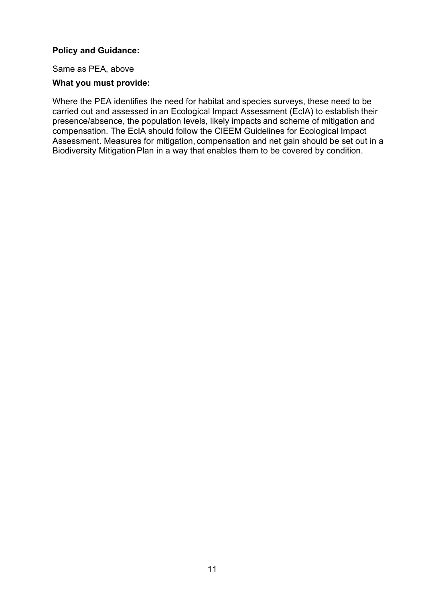#### **Policy and Guidance:**

Same as PEA, above

#### **What you must provide:**

Where the PEA identifies the need for habitat and species surveys, these need to be carried out and assessed in an Ecological Impact Assessment (EcIA) to establish their presence/absence, the population levels, likely impacts and scheme of mitigation and compensation. The EcIA should follow the CIEEM Guidelines for Ecological Impact Assessment. Measures for mitigation, compensation and net gain should be set out in a Biodiversity Mitigation Plan in a way that enables them to be covered by condition.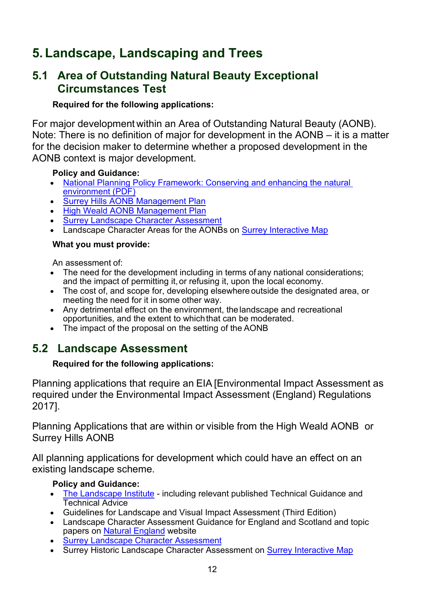# <span id="page-11-0"></span>**5. Landscape, Landscaping and Trees**

## <span id="page-11-1"></span>**5.1 Area of Outstanding Natural Beauty Exceptional Circumstances Test**

### **Required for the following applications:**

For major development within an Area of Outstanding Natural Beauty (AONB). Note: There is no definition of major for development in the AONB – it is a matter for the decision maker to determine whether a proposed development in the AONB context is major development.

#### **Policy and Guidance:**

- [National Planning Policy Framework: Conserving and enhancing the natural](https://assets.publishing.service.gov.uk/government/uploads/system/uploads/attachment_data/file/810197/NPPF_Feb_2019_revised.pdf)  [environment \(PDF\)](https://assets.publishing.service.gov.uk/government/uploads/system/uploads/attachment_data/file/810197/NPPF_Feb_2019_revised.pdf)
- [Surrey Hills AONB Management Plan](http://www.surreyhills.org/board/management-plan-2014-2019/)
- [High Weald AONB Management Plan](http://www.highweald.org/high-weald-aonb-management-plan.html)
- [Surrey Landscape Character Assessment](https://www.surreycc.gov.uk/land-planning-and-development/countryside/strategies-action-plans-and-guidance/landscape-character-assessment)
- Landscape Character Areas for the AONBs on [Surrey Interactive Map](https://www.surreycc.gov.uk/land-planning-and-development/interactive-map)

#### **What you must provide:**

An assessment of:

- The need for the development including in terms of any national considerations; and the impact of permitting it, or refusing it, upon the local economy.
- The cost of, and scope for, developing elsewhere outside the designated area, or meeting the need for it in some other way.
- Any detrimental effect on the environment, the landscape and recreational opportunities, and the extent to whichthat can be moderated.
- The impact of the proposal on the setting of the AONB

# <span id="page-11-2"></span>**5.2 Landscape Assessment**

## **Required for the following applications:**

Planning applications that require an EIA [Environmental Impact Assessment as required under the Environmental Impact Assessment (England) Regulations 2017].

Planning Applications that are within or visible from the High Weald AONB or Surrey Hills AONB

All planning applications for development which could have an effect on an existing landscape scheme.

## **Policy and Guidance:**

- [The Landscape Institute](https://www.landscapeinstitute.org/) including relevant published Technical Guidance and Technical Advice
- Guidelines for Landscape and Visual Impact Assessment (Third Edition)
- Landscape Character Assessment Guidance for England and Scotland and topic papers on [Natural England](http://www.naturalengland.org.uk/) website
- [Surrey Landscape Character Assessment](https://www.surreycc.gov.uk/land-planning-and-development/countryside/strategies-action-plans-and-guidance/landscape-character-assessment)
- Surrey Historic Landscape Character Assessment on **Surrey Interactive Map**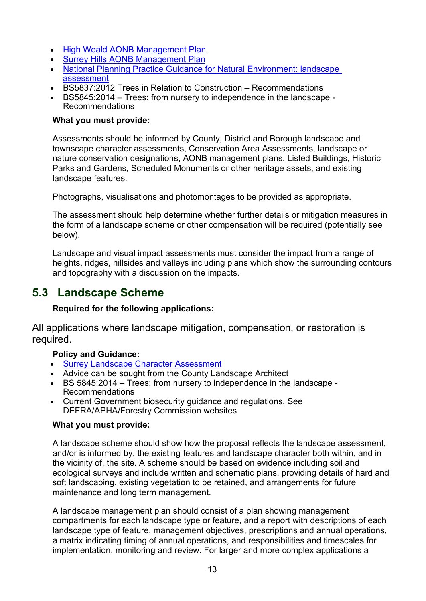- [High Weald AONB Management Plan](http://www.highweald.org/high-weald-aonb-management-plan.html)
- [Surrey Hills AONB Management Plan](http://www.surreyhills.org/board/management-plan-2014-2019/)
- [National Planning Practice Guidance for Natural Environment: landscape](https://www.gov.uk/guidance/natural-environment#landscape)  [assessment](https://www.gov.uk/guidance/natural-environment#landscape)
- BS5837:2012 Trees in Relation to Construction Recommendations
- BS5845:2014 Trees: from nursery to independence in the landscape Recommendations

#### **What you must provide:**

Assessments should be informed by County, District and Borough landscape and townscape character assessments, Conservation Area Assessments, landscape or nature conservation designations, AONB management plans, Listed Buildings, Historic Parks and Gardens, Scheduled Monuments or other heritage assets, and existing landscape features.

Photographs, visualisations and photomontages to be provided as appropriate.

The assessment should help determine whether further details or mitigation measures in the form of a landscape scheme or other compensation will be required (potentially see below).

Landscape and visual impact assessments must consider the impact from a range of heights, ridges, hillsides and valleys including plans which show the surrounding contours and topography with a discussion on the impacts.

## <span id="page-12-0"></span>**5.3 Landscape Scheme**

#### **Required for the following applications:**

All applications where landscape mitigation, compensation, or restoration is required.

#### **Policy and Guidance:**

- [Surrey Landscape Character Assessment](https://www.surreycc.gov.uk/land-planning-and-development/countryside/strategies-action-plans-and-guidance/landscape-character-assessment)
- Advice can be sought from the County Landscape Architect
- BS 5845:2014 Trees: from nursery to independence in the landscape Recommendations
- Current Government biosecurity guidance and regulations. See DEFRA/APHA/Forestry Commission websites

#### **What you must provide:**

A landscape scheme should show how the proposal reflects the landscape assessment, and/or is informed by, the existing features and landscape character both within, and in the vicinity of, the site. A scheme should be based on evidence including soil and ecological surveys and include written and schematic plans, providing details of hard and soft landscaping, existing vegetation to be retained, and arrangements for future maintenance and long term management.

A landscape management plan should consist of a plan showing management compartments for each landscape type or feature, and a report with descriptions of each landscape type of feature, management objectives, prescriptions and annual operations, a matrix indicating timing of annual operations, and responsibilities and timescales for implementation, monitoring and review. For larger and more complex applications a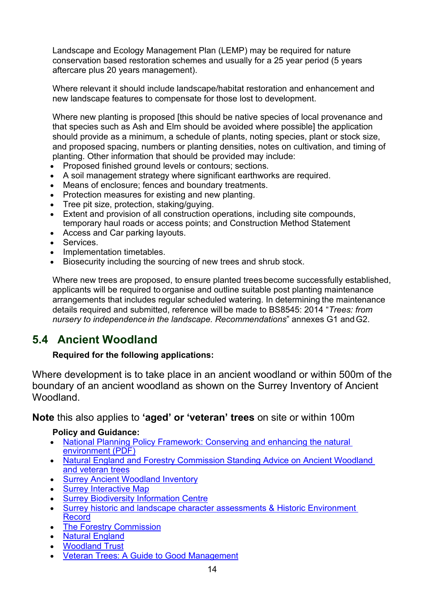Landscape and Ecology Management Plan (LEMP) may be required for nature conservation based restoration schemes and usually for a 25 year period (5 years aftercare plus 20 years management).

Where relevant it should include landscape/habitat restoration and enhancement and new landscape features to compensate for those lost to development.

Where new planting is proposed [this should be native species of local provenance and that species such as Ash and Elm should be avoided where possible] the application should provide as a minimum, a schedule of plants, noting species, plant or stock size, and proposed spacing, numbers or planting densities, notes on cultivation, and timing of planting. Other information that should be provided may include:

- Proposed finished ground levels or contours; sections.
- A soil management strategy where significant earthworks are required.
- Means of enclosure; fences and boundary treatments.
- Protection measures for existing and new planting.
- Tree pit size, protection, staking/guying.
- Extent and provision of all construction operations, including site compounds, temporary haul roads or access points; and Construction Method Statement
- Access and Car parking layouts.
- Services.
- Implementation timetables.
- Biosecurity including the sourcing of new trees and shrub stock.

Where new trees are proposed, to ensure planted treesbecome successfully established, applicants will be required to organise and outline suitable post planting maintenance arrangements that includes regular scheduled watering. In determining the maintenance details required and submitted, reference willbe made to BS8545: 2014 "*Trees: from nursery to independencein the landscape. Recommendations*" annexes G1 andG2.

# <span id="page-13-0"></span>**5.4 Ancient Woodland**

## **Required for the following applications:**

Where development is to take place in an ancient woodland or within 500m of the boundary of an ancient woodland as shown on the Surrey Inventory of Ancient Woodland.

**Note** this also applies to **'aged' or 'veteran' trees** on site or within 100m

## **Policy and Guidance:**

- [National Planning Policy Framework: Conserving and enhancing the natural](https://assets.publishing.service.gov.uk/government/uploads/system/uploads/attachment_data/file/810197/NPPF_Feb_2019_revised.pdf)  [environment \(PDF\)](https://assets.publishing.service.gov.uk/government/uploads/system/uploads/attachment_data/file/810197/NPPF_Feb_2019_revised.pdf)
- [Natural England and Forestry Commission Standing Advice on Ancient Woodland](https://www.gov.uk/guidance/ancient-woodland-and-veteran-trees-protection-surveys-licences)  [and veteran trees](https://www.gov.uk/guidance/ancient-woodland-and-veteran-trees-protection-surveys-licences)
- [Surrey Ancient Woodland Inventory](https://www.surreycc.gov.uk/land-planning-and-development/countryside/woodlands/surveys)
- **[Surrey Interactive Map](https://www.surreycc.gov.uk/land-planning-and-development/interactive-map)**
- **Surrey [Biodiversity Information Centre](http://www.surreywildlifetrust.org/SBIC)**
- [Surrey historic and landscape character assessments & Historic Environment](https://www.surreycc.gov.uk/land-planning-and-development/historical-planning/historic-environment-record)  [Record](https://www.surreycc.gov.uk/land-planning-and-development/historical-planning/historic-environment-record)
- [The Forestry Commission](https://www.gov.uk/guidance/planning-applications-affecting-trees-and-woodland)
- [Natural England](https://www.gov.uk/government/organisations/natural-england)
- [Woodland Trust](https://www.woodlandtrust.org.uk/)
- [Veteran Trees: A Guide to Good Management](http://publications.naturalengland.org.uk/publication/75035)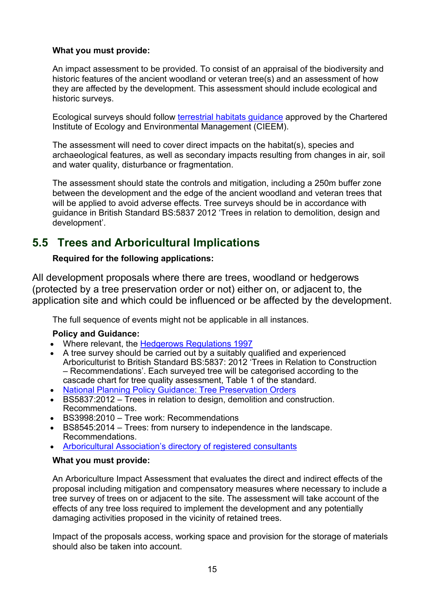#### **What you must provide:**

An impact assessment to be provided. To consist of an appraisal of the biodiversity and historic features of the ancient woodland or veteran tree(s) and an assessment of how they are affected by the development. This assessment should include ecological and historic surveys.

Ecological surveys should follow [terrestrial habitats guidance](http://www.cieem.net/habitats-terrestrial) approved by the Chartered Institute of Ecology and Environmental Management (CIEEM).

The assessment will need to cover direct impacts on the habitat(s), species and archaeological features, as well as secondary impacts resulting from changes in air, soil and water quality, disturbance or fragmentation.

The assessment should state the controls and mitigation, including a 250m buffer zone between the development and the edge of the ancient woodland and veteran trees that will be applied to avoid adverse effects. Tree surveys should be in accordance with guidance in British Standard BS:5837 2012 'Trees in relation to demolition, design and development'.

# <span id="page-14-0"></span>**5.5 Trees and Arboricultural Implications**

#### **Required for the following applications:**

All development proposals where there are trees, woodland or hedgerows (protected by a tree preservation order or not) either on, or adjacent to, the application site and which could be influenced or be affected by the development.

The full sequence of events might not be applicable in all instances.

#### **Policy and Guidance:**

- Where relevant, the [Hedgerows Regulations 1997](http://www.naturalengland.org.uk/ourwork/regulation/hedgeregs/default.aspx)
- A tree survey should be carried out by a suitably qualified and experienced Arboriculturist to British Standard BS:5837: 2012 'Trees in Relation to Construction – Recommendations'. Each surveyed tree will be categorised according to the cascade chart for tree quality assessment, Table 1 of the standard.
- [National Planning Policy Guidance: Tree Preservation Orders](https://www.gov.uk/guidance/tree-preservation-orders-and-trees-in-conservation-areas)
- BS5837:2012 Trees in relation to design, demolition and construction. Recommendations.
- BS3998:2010 Tree work: Recommendations
- BS8545:2014 Trees: from nursery to independence in the landscape. Recommendations.
- Arboricultural [Association's directory of registered consultants](http://www.trees.org.uk/)

#### **What you must provide:**

An Arboriculture Impact Assessment that evaluates the direct and indirect effects of the proposal including mitigation and compensatory measures where necessary to include a tree survey of trees on or adjacent to the site. The assessment will take account of the effects of any tree loss required to implement the development and any potentially damaging activities proposed in the vicinity of retained trees.

Impact of the proposals access, working space and provision for the storage of materials should also be taken into account.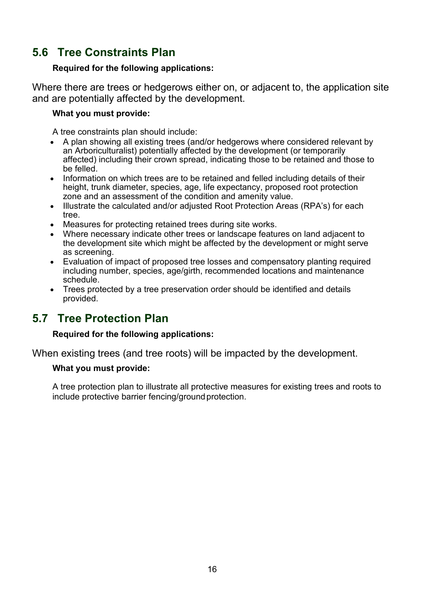# <span id="page-15-0"></span>**5.6 Tree Constraints Plan**

#### **Required for the following applications:**

Where there are trees or hedgerows either on, or adjacent to, the application site and are potentially affected by the development.

#### **What you must provide:**

A tree constraints plan should include:

- A plan showing all existing trees (and/or hedgerows where considered relevant by an Arboriculturalist) potentially affected by the development (or temporarily affected) including their crown spread, indicating those to be retained and those to be felled.
- Information on which trees are to be retained and felled including details of their height, trunk diameter, species, age, life expectancy, proposed root protection zone and an assessment of the condition and amenity value.
- Illustrate the calculated and/or adjusted Root Protection Areas (RPA's) for each tree.
- Measures for protecting retained trees during site works.
- Where necessary indicate other trees or landscape features on land adjacent to the development site which might be affected by the development or might serve as screening.
- Evaluation of impact of proposed tree losses and compensatory planting required including number, species, age/girth, recommended locations and maintenance schedule.
- Trees protected by a tree preservation order should be identified and details provided.

## <span id="page-15-1"></span>**5.7 Tree Protection Plan**

#### **Required for the following applications:**

When existing trees (and tree roots) will be impacted by the development.

#### **What you must provide:**

A tree protection plan to illustrate all protective measures for existing trees and roots to include protective barrier fencing/ground protection.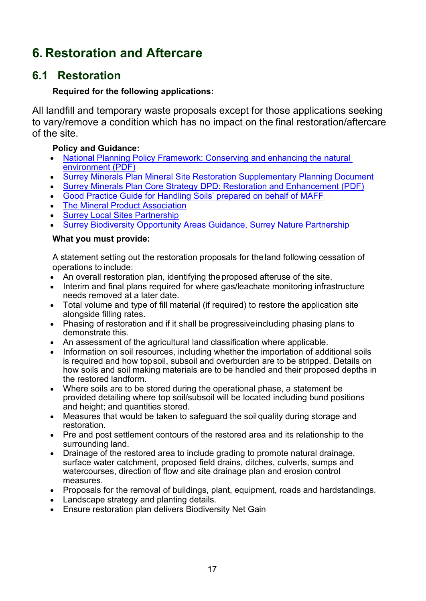# <span id="page-16-0"></span>**6. Restoration and Aftercare**

# <span id="page-16-1"></span>**6.1 Restoration**

### **Required for the following applications:**

All landfill and temporary waste proposals except for those applications seeking to vary/remove a condition which has no impact on the final restoration/aftercare of the site.

#### **Policy and Guidance:**

- [National Planning Policy Framework: Conserving and enhancing the natural](https://assets.publishing.service.gov.uk/government/uploads/system/uploads/attachment_data/file/810197/NPPF_Feb_2019_revised.pdf)  [environment \(PDF\)](https://assets.publishing.service.gov.uk/government/uploads/system/uploads/attachment_data/file/810197/NPPF_Feb_2019_revised.pdf)
- [Surrey Minerals Plan Mineral Site Restoration Supplementary Planning Document](https://www.surreycc.gov.uk/land-planning-and-development/minerals-and-waste/minerals-core-strategy-development-plan/minerals-plan-site-restoration-supplementary-planning)
- [Surrey Minerals Plan Core Strategy DPD: Restoration and Enhancement \(PDF\)](https://www.surreycc.gov.uk/__data/assets/pdf_file/0007/81439/Adopted-Core-Strategy-Development-Plan-Document.pdf)
- [Good Practice Guide for Handling Soils' prepared on behalf of MAFF](https://webarchive.nationalarchives.gov.uk/20090317221756/http:/www.defra.gov.uk/farm/environment/land-use/soilguid/index.htm)
- **[The Mineral Product Association](http://www.mineralproducts.org/)**
- **[Surrey Local Sites Partnership](https://surreynaturepartnership.org.uk/surrey-local-sites-partnership/)**
- **[Surrey Biodiversity Opportunity Areas Guidance, Surrey Nature Partnership](https://surreynaturepartnership.org.uk/our-work/)**

#### **What you must provide:**

A statement setting out the restoration proposals for theland following cessation of operations to include:

- An overall restoration plan, identifying the proposed afteruse of the site.
- Interim and final plans required for where gas/leachate monitoring infrastructure needs removed at a later date.
- Total volume and type of fill material (if required) to restore the application site alongside filling rates.
- Phasing of restoration and if it shall be progressiveincluding phasing plans to demonstrate this.
- An assessment of the agricultural land classification where applicable.
- Information on soil resources, including whether the importation of additional soils is required and how topsoil, subsoil and overburden are to be stripped. Details on how soils and soil making materials are to be handled and their proposed depths in the restored landform.
- Where soils are to be stored during the operational phase, a statement be provided detailing where top soil/subsoil will be located including bund positions and height; and quantities stored.
- Measures that would be taken to safeguard the soil quality during storage and restoration.
- Pre and post settlement contours of the restored area and its relationship to the surrounding land.
- Drainage of the restored area to include grading to promote natural drainage, surface water catchment, proposed field drains, ditches, culverts, sumps and watercourses, direction of flow and site drainage plan and erosion control measures.
- Proposals for the removal of buildings, plant, equipment, roads and hardstandings.
- Landscape strategy and planting details.
- Ensure restoration plan delivers Biodiversity Net Gain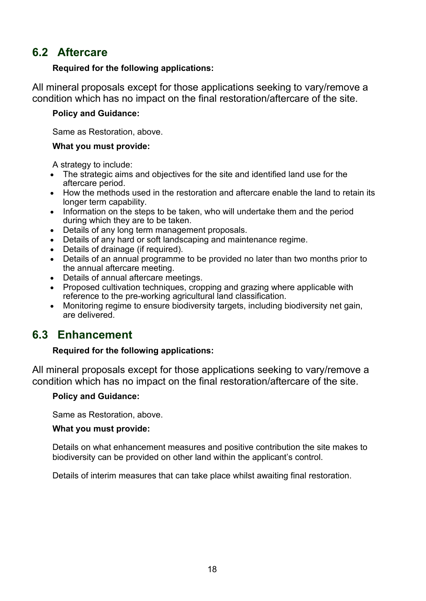# <span id="page-17-0"></span>**6.2 Aftercare**

#### **Required for the following applications:**

All mineral proposals except for those applications seeking to vary/remove a condition which has no impact on the final restoration/aftercare of the site.

#### **Policy and Guidance:**

Same as Restoration, above.

#### **What you must provide:**

A strategy to include:

- The strategic aims and objectives for the site and identified land use for the aftercare period.
- How the methods used in the restoration and aftercare enable the land to retain its longer term capability.
- Information on the steps to be taken, who will undertake them and the period during which they are to be taken.
- Details of any long term management proposals.
- Details of any hard or soft landscaping and maintenance regime.
- Details of drainage (if required).
- Details of an annual programme to be provided no later than two months prior to the annual aftercare meeting.
- Details of annual aftercare meetings.
- Proposed cultivation techniques, cropping and grazing where applicable with reference to the pre-working agricultural land classification.
- Monitoring regime to ensure biodiversity targets, including biodiversity net gain, are delivered.

# <span id="page-17-1"></span>**6.3 Enhancement**

## **Required for the following applications:**

All mineral proposals except for those applications seeking to vary/remove a condition which has no impact on the final restoration/aftercare of the site.

#### **Policy and Guidance:**

Same as Restoration, above.

#### **What you must provide:**

Details on what enhancement measures and positive contribution the site makes to biodiversity can be provided on other land within the applicant's control.

Details of interim measures that can take place whilst awaiting final restoration.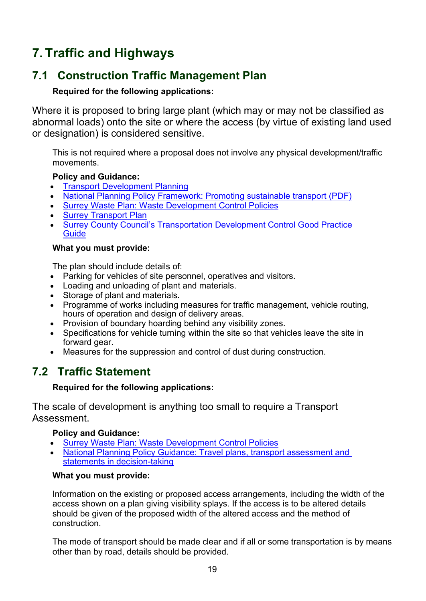# <span id="page-18-0"></span>**7. Traffic and Highways**

# <span id="page-18-1"></span>**7.1 Construction Traffic Management Plan**

## **Required for the following applications:**

Where it is proposed to bring large plant (which may or may not be classified as abnormal loads) onto the site or where the access (by virtue of existing land used or designation) is considered sensitive.

This is not required where a proposal does not involve any physical development/traffic movements.

## **Policy and Guidance:**

- [Transport Development Planning](https://www.surreycc.gov.uk/land-planning-and-development/planning/transport-development)
- [National Planning Policy Framework: Promoting sustainable transport \(PDF\)](https://assets.publishing.service.gov.uk/government/uploads/system/uploads/attachment_data/file/810197/NPPF_Feb_2019_revised.pdf)
- [Surrey Waste Plan: Waste Development Control Policies](https://www.surreycc.gov.uk/land-planning-and-development/minerals-and-waste/waste-plan)
- [Surrey Transport Plan](https://www.surreycc.gov.uk/roads-and-transport/policies-plans-consultations/transport-plan)
- Surrey County Council's Transportation Development Control Good Practice **[Guide](https://www.surreycc.gov.uk/land-planning-and-development/planning/transport-development/good-practice-guide)**

#### **What you must provide:**

The plan should include details of:

- Parking for vehicles of site personnel, operatives and visitors.
- Loading and unloading of plant and materials.
- Storage of plant and materials.
- Programme of works including measures for traffic management, vehicle routing, hours of operation and design of delivery areas.
- Provision of boundary hoarding behind any visibility zones.
- Specifications for vehicle turning within the site so that vehicles leave the site in forward gear.
- Measures for the suppression and control of dust during construction.

# <span id="page-18-2"></span>**7.2 Traffic Statement**

## **Required for the following applications:**

The scale of development is anything too small to require a Transport Assessment.

## **Policy and Guidance:**

- [Surrey Waste Plan: Waste Development Control Policies](https://www.surreycc.gov.uk/land-planning-and-development/minerals-and-waste/waste-plan)
- [National Planning Policy Guidance: Travel plans, transport assessment and](http://planningguidance.planningportal.gov.uk/blog/guidance/travel-plans-transport-assessments-and-statements-in-decision-taking/)  [statements in decision-taking](http://planningguidance.planningportal.gov.uk/blog/guidance/travel-plans-transport-assessments-and-statements-in-decision-taking/)

#### **What you must provide:**

Information on the existing or proposed access arrangements, including the width of the access shown on a plan giving visibility splays. If the access is to be altered details should be given of the proposed width of the altered access and the method of construction.

The mode of transport should be made clear and if all or some transportation is by means other than by road, details should be provided.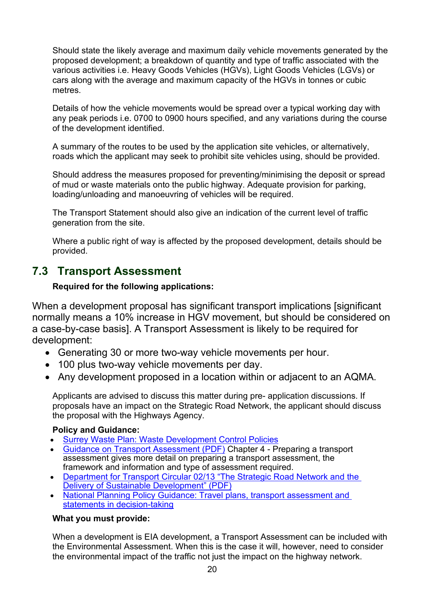Should state the likely average and maximum daily vehicle movements generated by the proposed development; a breakdown of quantity and type of traffic associated with the various activities i.e. Heavy Goods Vehicles (HGVs), Light Goods Vehicles (LGVs) or cars along with the average and maximum capacity of the HGVs in tonnes or cubic metres.

Details of how the vehicle movements would be spread over a typical working day with any peak periods i.e. 0700 to 0900 hours specified, and any variations during the course of the development identified.

A summary of the routes to be used by the application site vehicles, or alternatively, roads which the applicant may seek to prohibit site vehicles using, should be provided.

Should address the measures proposed for preventing/minimising the deposit or spread of mud or waste materials onto the public highway. Adequate provision for parking, loading/unloading and manoeuvring of vehicles will be required.

The Transport Statement should also give an indication of the current level of traffic generation from the site.

Where a public right of way is affected by the proposed development, details should be provided.

# <span id="page-19-0"></span>**7.3 Transport Assessment**

#### **Required for the following applications:**

When a development proposal has significant transport implications [significant normally means a 10% increase in HGV movement, but should be considered on a case-by-case basis]. A Transport Assessment is likely to be required for development:

- Generating 30 or more two-way vehicle movements per hour.
- 100 plus two-way vehicle movements per day.
- Any development proposed in a location within or adjacent to an AQMA.

Applicants are advised to discuss this matter during pre- application discussions. If proposals have an impact on the Strategic Road Network, the applicant should discuss the proposal with the Highways Agency.

#### **Policy and Guidance:**

- [Surrey Waste Plan: Waste Development Control Policies](https://www.surreycc.gov.uk/land-planning-and-development/minerals-and-waste/waste-plan)
- [Guidance on Transport Assessment \(PDF\)](https://www.gov.uk/government/uploads/system/uploads/attachment_data/file/263054/guidance-transport-assessment.pdf) Chapter 4 Preparing a transport assessment gives more detail on preparing a transport assessment, the framework and information and type of assessment required.
- [Department for Transport Circular 02/13 "The Strategic Road Network and the](https://www.gov.uk/government/uploads/system/uploads/attachment_data/file/237412/dft-circular-strategic-road.pdf)  [Delivery of Sustainable Development" \(PDF\)](https://www.gov.uk/government/uploads/system/uploads/attachment_data/file/237412/dft-circular-strategic-road.pdf)
- National Planning Policy Guidance: Travel plans, transport assessment and [statements in decision-taking](http://planningguidance.planningportal.gov.uk/blog/guidance/travel-plans-transport-assessments-and-statements-in-decision-taking/)

#### **What you must provide:**

When a development is EIA development, a Transport Assessment can be included with the Environmental Assessment. When this is the case it will, however, need to consider the environmental impact of the traffic not just the impact on the highway network.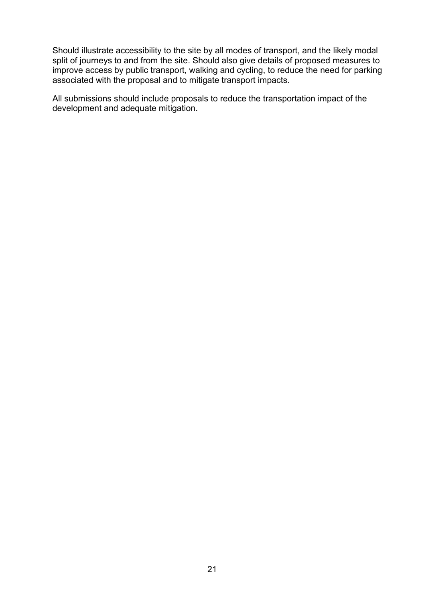Should illustrate accessibility to the site by all modes of transport, and the likely modal split of journeys to and from the site. Should also give details of proposed measures to improve access by public transport, walking and cycling, to reduce the need for parking associated with the proposal and to mitigate transport impacts.

All submissions should include proposals to reduce the transportation impact of the development and adequate mitigation.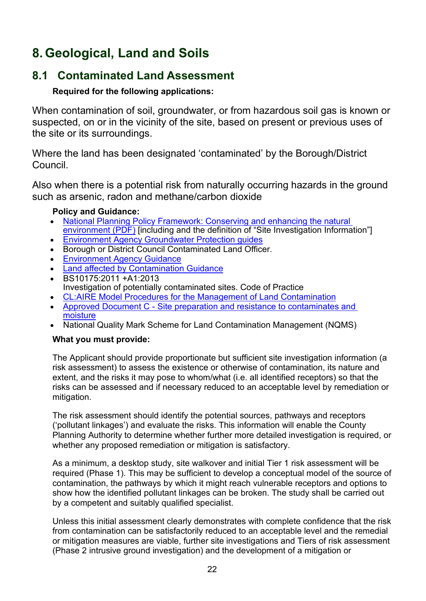# <span id="page-21-0"></span>**8. Geological, Land and Soils**

# <span id="page-21-1"></span>**8.1 Contaminated Land Assessment**

## **Required for the following applications:**

When contamination of soil, groundwater, or from hazardous soil gas is known or suspected, on or in the vicinity of the site, based on present or previous uses of the site or its surroundings.

Where the land has been designated 'contaminated' by the Borough/District Council.

Also when there is a potential risk from naturally occurring hazards in the ground such as arsenic, radon and methane/carbon dioxide

## **Policy and Guidance:**

- [National Planning Policy Framework: Conserving and enhancing the natural](https://assets.publishing.service.gov.uk/government/uploads/system/uploads/attachment_data/file/810197/NPPF_Feb_2019_revised.pdf)  [environment \(PDF\)](https://assets.publishing.service.gov.uk/government/uploads/system/uploads/attachment_data/file/810197/NPPF_Feb_2019_revised.pdf) [including and the definition of "Site Investigation Information"]
- [Environment Agency Groundwater Protection guides](https://www.gov.uk/government/collections/groundwater-protection)
- Borough or District Council Contaminated Land Officer.
- [Environment Agency Guidance](https://www.gov.uk/government/collections/land-contamination-technical-guidance)
- [Land affected by Contamination Guidance](https://www.gov.uk/guidance/land-affected-by-contamination)
- BS10175:2011 +A1:2013 Investigation of potentially contaminated sites. Code of Practice
- [CL:AIRE Model Procedures for the Management of Land Contamination](http://www.claire.co.uk/information-centre/water-and-land-library-wall/45-model-procedures/187-model-procedures)
- Approved Document C Site preparation and resistance to contaminates and [moisture](https://www.gov.uk/government/publications/site-preparation-and-resistance-to-contaminates-and-moisture-approved-document-c)
- National Quality Mark Scheme for Land Contamination Management (NQMS)

## **What you must provide:**

The Applicant should provide proportionate but sufficient site investigation information (a risk assessment) to assess the existence or otherwise of contamination, its nature and extent, and the risks it may pose to whom/what (i.e. all identified receptors) so that the risks can be assessed and if necessary reduced to an acceptable level by remediation or mitigation.

The risk assessment should identify the potential sources, pathways and receptors ('pollutant linkages') and evaluate the risks. This information will enable the County Planning Authority to determine whether further more detailed investigation is required, or whether any proposed remediation or mitigation is satisfactory.

As a minimum, a desktop study, site walkover and initial Tier 1 risk assessment will be required (Phase 1). This may be sufficient to develop a conceptual model of the source of contamination, the pathways by which it might reach vulnerable receptors and options to show how the identified pollutant linkages can be broken. The study shall be carried out by a competent and suitably qualified specialist.

Unless this initial assessment clearly demonstrates with complete confidence that the risk from contamination can be satisfactorily reduced to an acceptable level and the remedial or mitigation measures are viable, further site investigations and Tiers of risk assessment (Phase 2 intrusive ground investigation) and the development of a mitigation or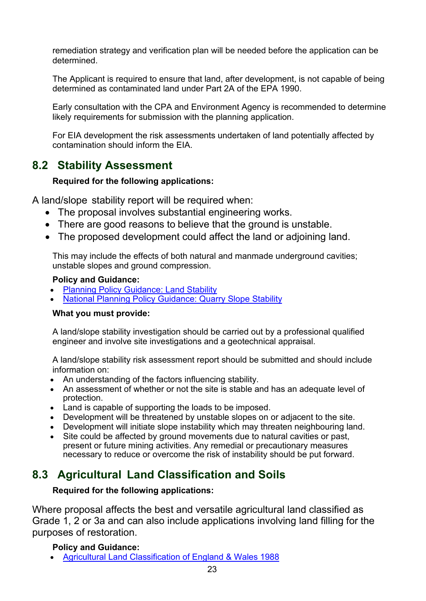remediation strategy and verification plan will be needed before the application can be determined.

The Applicant is required to ensure that land, after development, is not capable of being determined as contaminated land under Part 2A of the EPA 1990.

Early consultation with the CPA and Environment Agency is recommended to determine likely requirements for submission with the planning application.

For EIA development the risk assessments undertaken of land potentially affected by contamination should inform the EIA.

# <span id="page-22-0"></span>**8.2 Stability Assessment**

#### **Required for the following applications:**

A land/slope stability report will be required when:

- The proposal involves substantial engineering works.
- There are good reasons to believe that the ground is unstable.
- The proposed development could affect the land or adjoining land.

This may include the effects of both natural and manmade underground cavities; unstable slopes and ground compression.

#### **Policy and Guidance:**

- [Planning Policy Guidance: Land Stability](https://www.gov.uk/guidance/land-stability)
- [National Planning Policy Guidance: Quarry Slope Stability](https://www.gov.uk/guidance/minerals)

## **What you must provide:**

A land/slope stability investigation should be carried out by a professional qualified engineer and involve site investigations and a geotechnical appraisal.

A land/slope stability risk assessment report should be submitted and should include information on:

- An understanding of the factors influencing stability.
- An assessment of whether or not the site is stable and has an adequate level of protection.
- Land is capable of supporting the loads to be imposed.
- Development will be threatened by unstable slopes on or adjacent to the site.
- Development will initiate slope instability which may threaten neighbouring land.
- Site could be affected by ground movements due to natural cavities or past, present or future mining activities. Any remedial or precautionary measures necessary to reduce or overcome the risk of instability should be put forward.

# <span id="page-22-1"></span>**8.3 Agricultural Land Classification and Soils**

## **Required for the following applications:**

Where proposal affects the best and versatile agricultural land classified as Grade 1, 2 or 3a and can also include applications involving land filling for the purposes of restoration.

## **Policy and Guidance:**

• [Agricultural Land Classification of England & Wales 1988](http://publications.naturalengland.org.uk/publication/6257050620264448)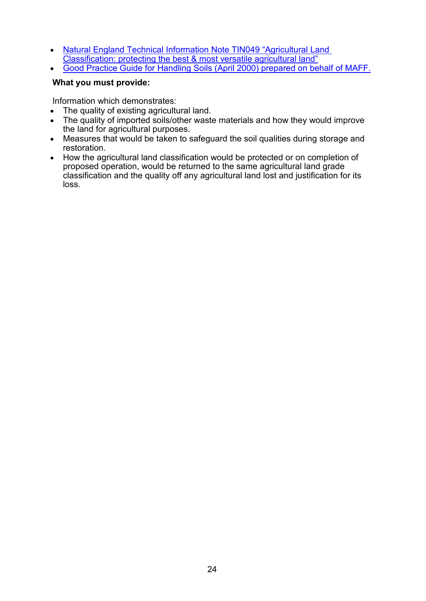- Natural [England Technical Information Note TIN049 "Agricultural Land](http://publications.naturalengland.org.uk/publication/35012)  [Classification: protecting the best & most versatile agricultural land"](http://publications.naturalengland.org.uk/publication/35012)
- [Good Practice Guide for Handling Soils \(April 2000\) prepared on behalf of MAFF.](https://webarchive.nationalarchives.gov.uk/20090317221756/http:/www.defra.gov.uk/farm/environment/land-use/soilguid/index.htm)

#### **What you must provide:**

Information which demonstrates:

- The quality of existing agricultural land.
- The quality of imported soils/other waste materials and how they would improve the land for agricultural purposes.
- Measures that would be taken to safeguard the soil qualities during storage and restoration.
- How the agricultural land classification would be protected or on completion of proposed operation, would be returned to the same agricultural land grade classification and the quality off any agricultural land lost and justification for its loss.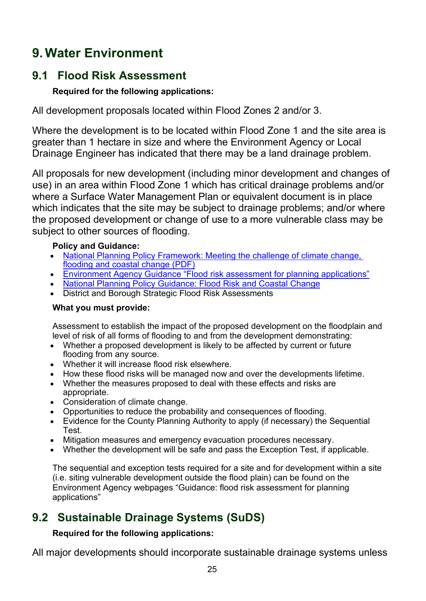# <span id="page-24-0"></span>**9. Water Environment**

# <span id="page-24-1"></span>**9.1 Flood Risk Assessment**

## **Required for the following applications:**

All development proposals located within Flood Zones 2 and/or 3.

Where the development is to be located within Flood Zone 1 and the site area is greater than 1 hectare in size and where the Environment Agency or Local Drainage Engineer has indicated that there may be a land drainage problem.

All proposals for new development (including minor development and changes of use) in an area within Flood Zone 1 which has critical drainage problems and/or where a Surface Water Management Plan or equivalent document is in place which indicates that the site may be subject to drainage problems; and/or where the proposed development or change of use to a more vulnerable class may be subject to other sources of flooding.

#### **Policy and Guidance:**

- National Planning Policy Framework: Meeting the challenge of climate change, [flooding and coastal change \(PDF\)](https://assets.publishing.service.gov.uk/government/uploads/system/uploads/attachment_data/file/810197/NPPF_Feb_2019_revised.pdf)
- [Environment Agency Guidance "Flood risk assessment for planning applications"](https://www.gov.uk/guidance/flood-risk-assessment-for-planning-applications)
- [National Planning Policy Guidance: Flood Risk and Coastal Change](http://planningguidance.planningportal.gov.uk/blog/guidance/flood-risk-and-coastal-change/)
- District and Borough Strategic Flood Risk Assessments

#### **What you must provide:**

Assessment to establish the impact of the proposed development on the floodplain and level of risk of all forms of flooding to and from the development demonstrating:

- Whether a proposed development is likely to be affected by current or future flooding from any source.
- Whether it will increase flood risk elsewhere.
- How these flood risks will be managed now and over the developments lifetime.
- Whether the measures proposed to deal with these effects and risks are appropriate.
- Consideration of climate change.
- Opportunities to reduce the probability and consequences of flooding.
- Evidence for the County Planning Authority to apply (if necessary) the Sequential Test.
- Mitigation measures and emergency evacuation procedures necessary.
- Whether the development will be safe and pass the Exception Test, if applicable.

The sequential and exception tests required for a site and for development within a site (i.e. siting vulnerable development outside the flood plain) can be found on the Environment Agency webpages "Guidance: flood risk assessment for planning applications"

# <span id="page-24-2"></span>**9.2 Sustainable Drainage Systems (SuDS)**

## **Required for the following applications:**

All major developments should incorporate sustainable drainage systems unless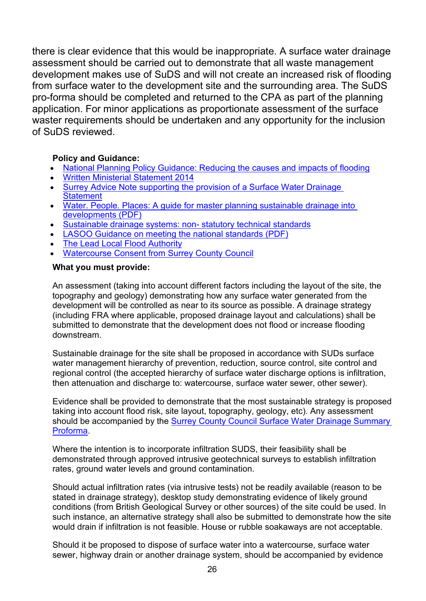there is clear evidence that this would be inappropriate. A surface water drainage assessment should be carried out to demonstrate that all waste management development makes use of SuDS and will not create an increased risk of flooding from surface water to the development site and the surrounding area. The SuDS pro-forma should be completed and returned to the CPA as part of the planning application. For minor applications as proportionate assessment of the surface waster requirements should be undertaken and any opportunity for the inclusion of SuDS reviewed.

#### **Policy and Guidance:**

- [National Planning Policy Guidance: Reducing the causes and impacts of flooding](https://www.gov.uk/guidance/flood-risk-and-coastal-change#flood-risk-opportunities)
- [Written Ministerial Statement 2014](https://www.parliament.uk/business/publications/written-questions-answers-statements/written-statement/Commons/2014-12-18/HCWS161)
- Surrey Advice Note supporting the provision of a Surface Water Drainage **[Statement](https://www.surreycc.gov.uk/people-and-community/emergency-planning-and-community-safety/flooding-advice/more-about-flooding/suds-planning-advice)**
- [Water. People. Places: A guide for master planning sustainable drainage into](https://www.midsussex.gov.uk/media/2909/water-people-places-a-guide-for-master-planning-sustainable-drainage-into-developments.pdf)  [developments \(PDF\)](https://www.midsussex.gov.uk/media/2909/water-people-places-a-guide-for-master-planning-sustainable-drainage-into-developments.pdf)
- [Sustainable drainage systems: non-](https://www.gov.uk/government/publications/sustainable-drainage-systems-non-statutory-technical-standards) statutory technical standards
- [LASOO Guidance on meeting the national standards \(PDF\)](https://www.susdrain.org/files/resources/other-guidance/lasoo_non_statutory_suds_technical_standards_guidance_2016_.pdf)
- [The Lead Local Flood Authority](https://www.surreycc.gov.uk/people-and-community/emergency-planning-and-community-safety/flooding-advice/more-about-flooding/the-flood-and-water-management-act)
- [Watercourse Consent from Surrey County Council](https://www.surreycc.gov.uk/people-and-community/emergency-planning-and-community-safety/flooding-advice/more-about-flooding/ordinary-watercourse-consents)

#### **What you must provide:**

An assessment (taking into account different factors including the layout of the site, the topography and geology) demonstrating how any surface water generated from the development will be controlled as near to its source as possible. A drainage strategy (including FRA where applicable, proposed drainage layout and calculations) shall be submitted to demonstrate that the development does not flood or increase flooding downstream.

Sustainable drainage for the site shall be proposed in accordance with SUDs surface water management hierarchy of prevention, reduction, source control, site control and regional control (the accepted hierarchy of surface water discharge options is infiltration, then attenuation and discharge to: watercourse, surface water sewer, other sewer).

Evidence shall be provided to demonstrate that the most sustainable strategy is proposed taking into account flood risk, site layout, topography, geology, etc). Any assessment should be accompanied by the **Surrey County Council Surface Water Drainage Summary** [Proforma.](https://www.surreycc.gov.uk/people-and-community/emergency-planning-and-community-safety/flooding-advice/more-about-flooding/suds-planning-advice)

Where the intention is to incorporate infiltration SUDS, their feasibility shall be demonstrated through approved intrusive geotechnical surveys to establish infiltration rates, ground water levels and ground contamination.

Should actual infiltration rates (via intrusive tests) not be readily available (reason to be stated in drainage strategy), desktop study demonstrating evidence of likely ground conditions (from British Geological Survey or other sources) of the site could be used. In such instance, an alternative strategy shall also be submitted to demonstrate how the site would drain if infiltration is not feasible. House or rubble soakaways are not acceptable.

Should it be proposed to dispose of surface water into a watercourse, surface water sewer, highway drain or another drainage system, should be accompanied by evidence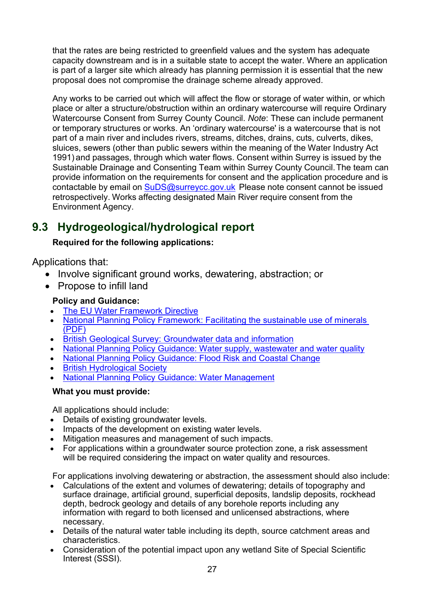that the rates are being restricted to greenfield values and the system has adequate capacity downstream and is in a suitable state to accept the water. Where an application is part of a larger site which already has planning permission it is essential that the new proposal does not compromise the drainage scheme already approved.

Any works to be carried out which will affect the flow or storage of water within, or which place or alter a structure/obstruction within an ordinary watercourse will require Ordinary Watercourse Consent from Surrey County Council. *Note*: These can include permanent or temporary structures or works. An 'ordinary watercourse' is a watercourse that is not part of a main river and includes rivers, streams, ditches, drains, cuts, culverts, dikes, sluices, sewers (other than public sewers within the meaning of the Water Industry Act 1991) and passages, through which water flows. Consent within Surrey is issued by the Sustainable Drainage and Consenting Team within Surrey County Council.The team can provide information on the requirements for consent and the application procedure and is contactable by email on [SuDS@surreycc.gov.uk](mailto:SuDS@surreycc.gov.uk) Please note consent cannot be issued retrospectively. Works affecting designated Main River require consent from the Environment Agency.

# <span id="page-26-0"></span>**9.3 Hydrogeological/hydrological report**

## **Required for the following applications:**

Applications that:

- Involve significant ground works, dewatering, abstraction; or
- Propose to infill land

## **Policy and Guidance:**

- [The EU Water Framework Directive](http://ec.europa.eu/environment/water/water-framework/index_en.html)
- National Planning Policy Framework: Facilitating the sustainable use of minerals [\(PDF\)](https://assets.publishing.service.gov.uk/government/uploads/system/uploads/attachment_data/file/810197/NPPF_Feb_2019_revised.pdf)
- [British Geological Survey: Groundwater data and information](http://www.bgs.ac.uk/research/groundwater/datainfo/datainformation.html)
- [National Planning Policy Guidance: Water supply, wastewater and water quality](http://planningguidance.planningportal.gov.uk/blog/guidance/water-supply-wastewater-and-water-quality/)
- [National Planning Policy Guidance: Flood Risk and Coastal Change](http://planningguidance.planningportal.gov.uk/blog/guidance/flood-risk-and-coastal-change/)
- **[British Hydrological Society](http://www.hydrology.org.uk/)**
- [National Planning Policy Guidance: Water Management](https://www.gov.uk/guidance/water-management-abstract-or-impound-water)

## **What you must provide:**

All applications should include:

- Details of existing groundwater levels.
- Impacts of the development on existing water levels.
- Mitigation measures and management of such impacts.
- For applications within a groundwater source protection zone, a risk assessment will be required considering the impact on water quality and resources.

For applications involving dewatering or abstraction, the assessment should also include:

- Calculations of the extent and volumes of dewatering; details of topography and surface drainage, artificial ground, superficial deposits, landslip deposits, rockhead depth, bedrock geology and details of any borehole reports including any information with regard to both licensed and unlicensed abstractions, where necessary.
- Details of the natural water table including its depth, source catchment areas and characteristics.
- Consideration of the potential impact upon any wetland Site of Special Scientific Interest (SSSI).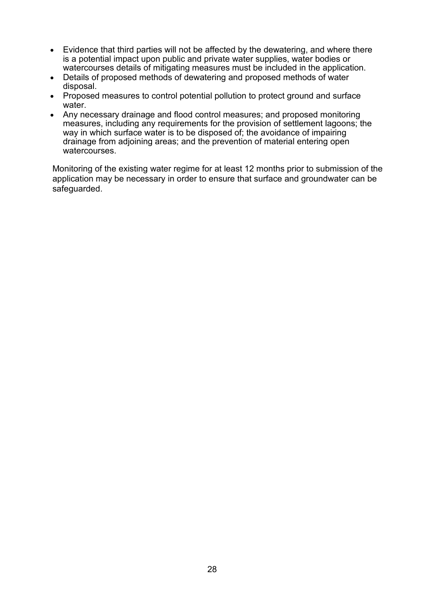- Evidence that third parties will not be affected by the dewatering, and where there is a potential impact upon public and private water supplies, water bodies or watercourses details of mitigating measures must be included in the application.
- Details of proposed methods of dewatering and proposed methods of water disposal.
- Proposed measures to control potential pollution to protect ground and surface water.
- Any necessary drainage and flood control measures; and proposed monitoring measures, including any requirements for the provision of settlement lagoons; the we way in which surface water is to be disposed of; the avoidance of impairing drainage from adjoining areas; and the prevention of material entering open watercourses.

Monitoring of the existing water regime for at least 12 months prior to submission of the application may be necessary in order to ensure that surface and groundwater can be safeguarded.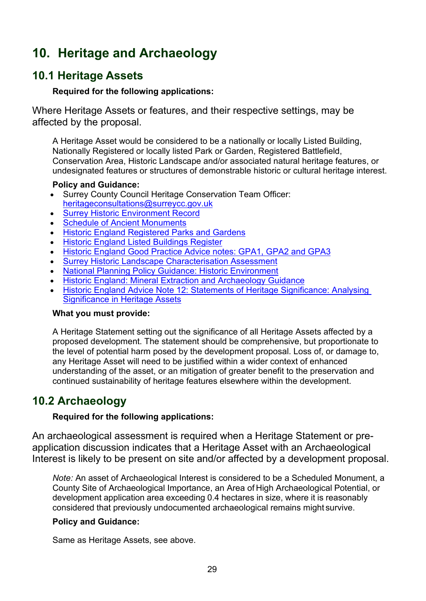# <span id="page-28-0"></span>**10. Heritage and Archaeology**

## <span id="page-28-1"></span>**10.1 Heritage Assets**

#### **Required for the following applications:**

Where Heritage Assets or features, and their respective settings, may be affected by the proposal.

A Heritage Asset would be considered to be a nationally or locally Listed Building, Nationally Registered or locally listed Park or Garden, Registered Battlefield, Conservation Area, Historic Landscape and/or associated natural heritage features, or undesignated features or structures of demonstrable historic or cultural heritage interest.

#### **Policy and Guidance:**

- Surrey County Council Heritage Conservation Team Officer: [heritageconsultations@surreycc.gov.uk](mailto:heritageconsultations@surreycc.gov.uk)
- [Surrey Historic Environment Record](https://www.surreycc.gov.uk/land-planning-and-development/historical-planning/historic-environment-record)
- **[Schedule of Ancient Monuments](https://historicengland.org.uk/listing/what-is-designation/scheduled-monuments/)**
- [Historic England Registered Parks and Gardens](https://historicengland.org.uk/listing/what-is-designation/registered-parks-and-gardens/)
- [Historic England Listed Buildings Register](https://historicengland.org.uk/listing/what-is-designation/listed-buildings/)
- [Historic England Good Practice Advice notes: GPA1, GPA2 and GPA3](https://historicengland.org.uk/images-books/publications/)
- [Surrey Historic Landscape Characterisation Assessment](https://archaeologydataservice.ac.uk/archives/view/surrey_hlc_2017/index.cfm)
- [National Planning Policy Guidance: Historic](http://planningguidance.planningportal.gov.uk/blog/guidance/conserving-and-enhancing-the-historic-environment/) Environment
- **[Historic England: Mineral Extraction and Archaeology Guidance](https://historicengland.org.uk/images-books/publications/mineral-extraction-and-archaeology-advice-note-13/)**
- [Historic England Advice Note 12: Statements of Heritage Significance: Analysing](https://historicengland.org.uk/images-books/publications/statements-heritage-significance-advice-note-12/)  [Significance in Heritage Assets](https://historicengland.org.uk/images-books/publications/statements-heritage-significance-advice-note-12/)

#### **What you must provide:**

A Heritage Statement setting out the significance of all Heritage Assets affected by a proposed development. The statement should be comprehensive, but proportionate to the level of potential harm posed by the development proposal. Loss of, or damage to, any Heritage Asset will need to be justified within a wider context of enhanced understanding of the asset, or an mitigation of greater benefit to the preservation and continued sustainability of heritage features elsewhere within the development.

# <span id="page-28-2"></span>**10.2 Archaeology**

#### **Required for the following applications:**

An archaeological assessment is required when a Heritage Statement or preapplication discussion indicates that a Heritage Asset with an Archaeological Interest is likely to be present on site and/or affected by a development proposal.

*Note:* An asset of Archaeological Interest is considered to be a Scheduled Monument, a County Site of Archaeological Importance, an Area of High Archaeological Potential, or development application area exceeding 0.4 hectares in size, where it is reasonably considered that previously undocumented archaeological remains might survive.

## **Policy and Guidance:**

Same as Heritage Assets, see above.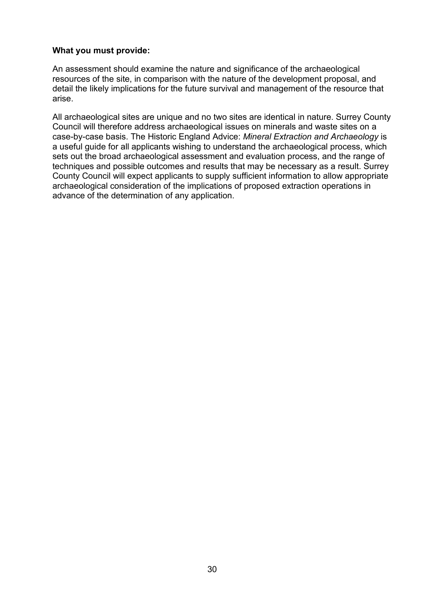#### **What you must provide:**

An assessment should examine the nature and significance of the archaeological resources of the site, in comparison with the nature of the development proposal, and detail the likely implications for the future survival and management of the resource that arise.

All archaeological sites are unique and no two sites are identical in nature. Surrey County Council will therefore address archaeological issues on minerals and waste sites on a case-by-case basis. The Historic England Advice: *Mineral Extraction and Archaeology* is a useful guide for all applicants wishing to understand the archaeological process, which sets out the broad archaeological assessment and evaluation process, and the range of techniques and possible outcomes and results that may be necessary as a result. Surrey County Council will expect applicants to supply sufficient information to allow appropriate archaeological consideration of the implications of proposed extraction operations in advance of the determination of any application.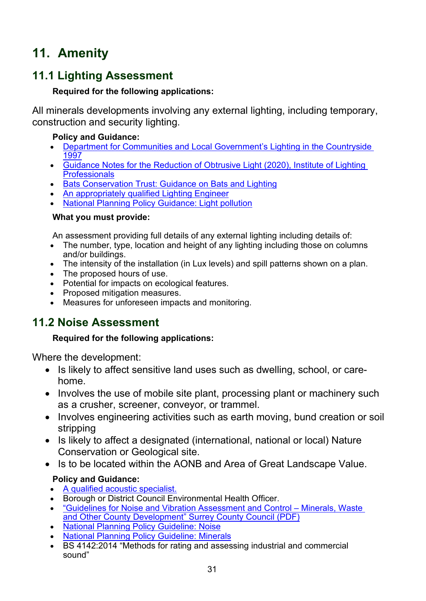# <span id="page-30-0"></span>**11. Amenity**

# <span id="page-30-1"></span>**11.1 Lighting Assessment**

## **Required for the following applications:**

All minerals developments involving any external lighting, including temporary, construction and security lighting.

## **Policy and Guidance:**

- [Department for Communities and Local Government's Lighting in the Countryside](https://webarchive.nationalarchives.gov.uk/20120919202429/http:/www.communities.gov.uk/archived/publications/planningandbuilding/lighting)  [1997](https://webarchive.nationalarchives.gov.uk/20120919202429/http:/www.communities.gov.uk/archived/publications/planningandbuilding/lighting)
- [Guidance Notes for the Reduction of Obtrusive Light \(2020\), Institute of Lighting](https://www.theilp.org.uk/documents/obtrusive-light/)  **[Professionals](https://www.theilp.org.uk/documents/obtrusive-light/)**
- [Bats Conservation Trust: Guidance on Bats and Lighting](https://www.bats.org.uk/news/2018/09/new-guidance-on-bats-and-lighting)
- [An appropriately qualified Lighting Engineer](https://www.theilp.org.uk/resources/consultants/)
- [National Planning Policy Guidance: Light pollution](https://www.gov.uk/guidance/light-pollution)

## **What you must provide:**

An assessment providing full details of any external lighting including details of:

- The number, type, location and height of any lighting including those on columns and/or buildings.
- The intensity of the installation (in Lux levels) and spill patterns shown on a plan.
- The proposed hours of use.
- Potential for impacts on ecological features.
- Proposed mitigation measures.
- Measures for unforeseen impacts and monitoring.

# <span id="page-30-2"></span>**11.2 Noise Assessment**

## **Required for the following applications:**

Where the development:

- Is likely to affect sensitive land uses such as dwelling, school, or carehome.
- Involves the use of mobile site plant, processing plant or machinery such as a crusher, screener, conveyor, or trammel.
- Involves engineering activities such as earth moving, bund creation or soil stripping
- Is likely to affect a designated (international, national or local) Nature Conservation or Geological site.
- Is to be located within the AONB and Area of Great Landscape Value.

## **Policy and Guidance:**

- [A qualified acoustic specialist.](http://www.ioa.org.uk/)
- Borough or District Council Environmental Health Officer.
- ["Guidelines for Noise and Vibration Assessment and Control –](https://www.surreycc.gov.uk/__data/assets/pdf_file/0019/16453/Surrey-Noise-Guidelines-January-2020.pdf) Minerals, Waste [and Other County Development" Surrey County Council \(PDF\)](https://www.surreycc.gov.uk/__data/assets/pdf_file/0019/16453/Surrey-Noise-Guidelines-January-2020.pdf)
- [National Planning Policy Guideline: Noise](https://www.gov.uk/guidance/noise--2)
- [National Planning Policy Guideline: Minerals](https://www.gov.uk/guidance/minerals)
- BS 4142:2014 "Methods for rating and assessing industrial and commercial sound"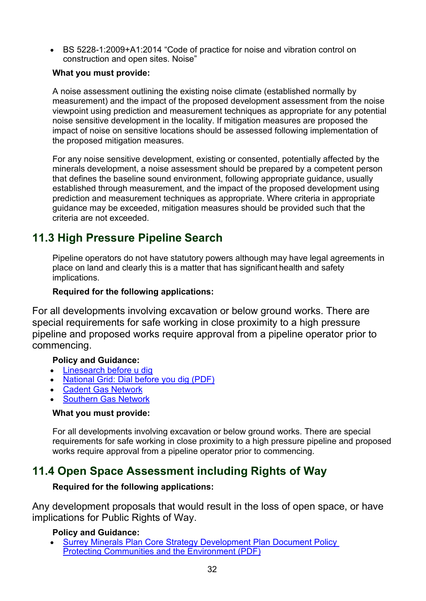• BS 5228-1:2009+A1:2014 "Code of practice for noise and vibration control on construction and open sites. Noise"

#### **What you must provide:**

A noise assessment outlining the existing noise climate (established normally by measurement) and the impact of the proposed development assessment from the noise viewpoint using prediction and measurement techniques as appropriate for any potential noise sensitive development in the locality. If mitigation measures are proposed the impact of noise on sensitive locations should be assessed following implementation of the proposed mitigation measures.

For any noise sensitive development, existing or consented, potentially affected by the minerals development, a noise assessment should be prepared by a competent person that defines the baseline sound environment, following appropriate guidance, usually established through measurement, and the impact of the proposed development using prediction and measurement techniques as appropriate. Where criteria in appropriate guidance may be exceeded, mitigation measures should be provided such that the criteria are not exceeded.

# <span id="page-31-0"></span>**11.3 High Pressure Pipeline Search**

Pipeline operators do not have statutory powers although may have legal agreements in place on land and clearly this is a matter that has significant health and safety implications.

#### **Required for the following applications:**

For all developments involving excavation or below ground works. There are special requirements for safe working in close proximity to a high pressure pipeline and proposed works require approval from a pipeline operator prior to commencing.

#### **Policy and Guidance:**

- [Linesearch before u dig](https://www.linesearchbeforeudig.co.uk/)
- [National Grid: Dial before you dig \(PDF\)](https://www.nationalgrid.com/sites/default/files/documents/33969-Dial%20before%20you%20dig%20-%20your%20at-a-glance%20guide.pdf)
- [Cadent Gas Network](https://cadentgas.com/help-advice/digging-safely)
- **[Southern Gas Network](https://www.sgn.co.uk/help-and-advice/digging-safely)**

#### **What you must provide:**

For all developments involving excavation or below ground works. There are special requirements for safe working in close proximity to a high pressure pipeline and proposed works require approval from a pipeline operator prior to commencing.

## <span id="page-31-1"></span>**11.4 Open Space Assessment including Rights of Way**

#### **Required for the following applications:**

Any development proposals that would result in the loss of open space, or have implications for Public Rights of Way.

#### **Policy and Guidance:**

**[Surrey Minerals Plan Core Strategy Development](https://www.surreycc.gov.uk/__data/assets/pdf_file/0007/81439/Adopted-Core-Strategy-Development-Plan-Document.pdf) Plan Document Policy** [Protecting Communities and the Environment \(PDF\)](https://www.surreycc.gov.uk/__data/assets/pdf_file/0007/81439/Adopted-Core-Strategy-Development-Plan-Document.pdf)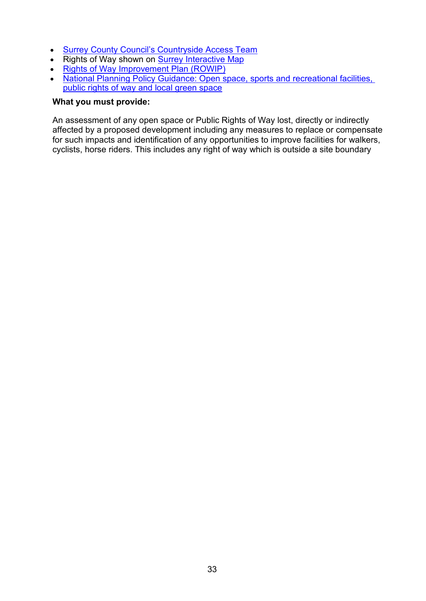- [Surrey County Council's Countryside Access Team](https://www.surreycc.gov.uk/environment-housing-and-planning/countryside)
- Rights of Way shown on [Surrey Interactive Map](http://www.surreycc.gov.uk/maps/surrey-interactive-map)
- [Rights of Way Improvement Plan \(ROWIP\)](https://www.surreycc.gov.uk/land-planning-and-development/countryside/footpaths-byways-and-bridleways/rights-of-way-improvement-plan)
- National Planning Policy Guidance: Open space, sports and recreational facilities, [public rights of way and local green space](https://www.gov.uk/guidance/open-space-sports-and-recreation-facilities-public-rights-of-way-and-local-green-space)

#### **What you must provide:**

An assessment of any open space or Public Rights of Way lost, directly or indirectly affected by a proposed development including any measures to replace or compensate for such impacts and identification of any opportunities to improve facilities for walkers, cyclists, horse riders. This includes any right of way which is outside a site boundary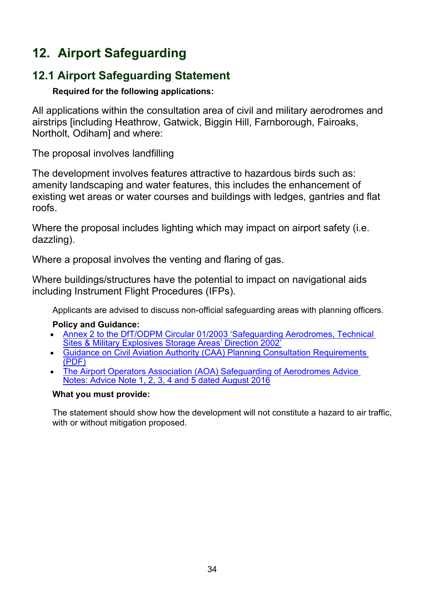# <span id="page-33-0"></span>**12. Airport Safeguarding**

# <span id="page-33-1"></span>**12.1 Airport Safeguarding Statement**

## **Required for the following applications:**

All applications within the consultation area of civil and military aerodromes and airstrips [including Heathrow, Gatwick, Biggin Hill, Farnborough, Fairoaks, Northolt, Odiham] and where:

The proposal involves landfilling

The development involves features attractive to hazardous birds such as: amenity landscaping and water features, this includes the enhancement of existing wet areas or water courses and buildings with ledges, gantries and flat roofs.

Where the proposal includes lighting which may impact on airport safety (i.e. dazzling).

Where a proposal involves the venting and flaring of gas.

Where buildings/structures have the potential to impact on navigational aids including Instrument Flight Procedures (IFPs).

Applicants are advised to discuss non-official safeguarding areas with planning officers.

## **Policy and Guidance:**

- [Annex 2 to the DfT/ODPM Circular 01/2003 'Safeguarding Aerodromes, Technical](https://www.gov.uk/government/publications/safeguarding-aerodromes-technical-sites-and-military-explosives-storage-areas)  [Sites & Military Explosives Storage Areas' Direction 2002'](https://www.gov.uk/government/publications/safeguarding-aerodromes-technical-sites-and-military-explosives-storage-areas)
- [Guidance on Civil Aviation Authority \(CAA\) Planning Consultation Requirements](https://publicapps.caa.co.uk/docs/33/20120802GuidanceOnCAAPlanningConsultationRequirementsAug12Update.pdf)  [\(PDF\)](https://publicapps.caa.co.uk/docs/33/20120802GuidanceOnCAAPlanningConsultationRequirementsAug12Update.pdf)
- [The Airport Operators Association \(AOA\) Safeguarding of Aerodromes Advice](http://www.aoa.org.uk/policy-campaigns/operations-safety/)  [Notes: Advice Note 1, 2, 3, 4 and 5 dated August 2016](http://www.aoa.org.uk/policy-campaigns/operations-safety/)

#### **What you must provide:**

The statement should show how the development will not constitute a hazard to air traffic, with or without mitigation proposed.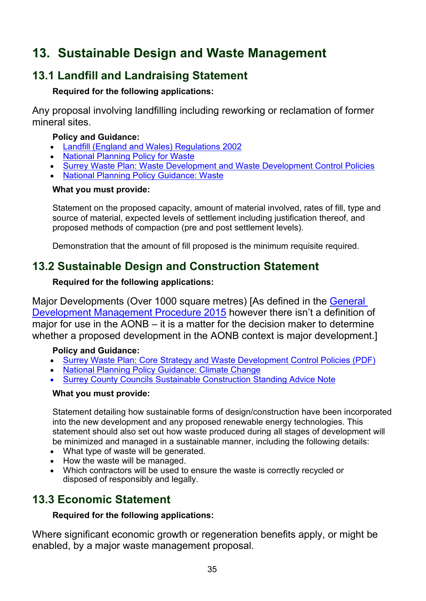# <span id="page-34-0"></span>**13. Sustainable Design and Waste Management**

# <span id="page-34-1"></span>**13.1 Landfill and Landraising Statement**

### **Required for the following applications:**

Any proposal involving landfilling including reworking or reclamation of former mineral sites.

#### **Policy and Guidance:**

- [Landfill \(England and Wales\) Regulations 2002](http://www.legislation.gov.uk/uksi/2002/1559/contents/made)
- [National Planning Policy for Waste](https://www.gov.uk/government/publications/national-planning-policy-for-waste)
- [Surrey Waste Plan: Waste Development and Waste Development Control Policies](https://www.surreycc.gov.uk/land-planning-and-development/minerals-and-waste)
- [National Planning Policy Guidance: Waste](https://www.gov.uk/guidance/waste)

#### **What you must provide:**

Statement on the proposed capacity, amount of material involved, rates of fill, type and source of material, expected levels of settlement including justification thereof, and proposed methods of compaction (pre and post settlement levels).

Demonstration that the amount of fill proposed is the minimum requisite required.

# <span id="page-34-2"></span>**13.2 Sustainable Design and Construction Statement**

#### **Required for the following applications:**

Major Developments (Over 1000 square metres) [As defined in the [General](http://www.legistlation.gov.uk/uksi/2015/595/article/2/made)  [Development Management Procedure 2015](http://www.legistlation.gov.uk/uksi/2015/595/article/2/made) however there isn't a definition of major for use in the AONB – it is a matter for the decision maker to determine whether a proposed development in the AONB context is major development.]

## **Policy and Guidance:**

- [Surrey Waste Plan: Core Strategy and Waste Development Control](https://www.surreycc.gov.uk/__data/assets/pdf_file/0018/30447/Surrey-Waste-Plan-May_2008minusEpages.pdf) Policies (PDF)
- [National Planning Policy Guidance: Climate Change](http://planningguidance.planningportal.gov.uk/blog/guidance/climate-change/)
- [Surrey County Councils Sustainable Construction Standing Advice Note](https://www.surreycc.gov.uk/__data/assets/pdf_file/0006/93516/2016-09-08-Sustainable-Cons-Standing-Advice_p1.pdf)

#### **What you must provide:**

Statement detailing how sustainable forms of design/construction have been incorporated into the new development and any proposed renewable energy technologies. This statement should also set out how waste produced during all stages of development will be minimized and managed in a sustainable manner, including the following details:

- What type of waste will be generated.
- How the waste will be managed.
- Which contractors will be used to ensure the waste is correctly recycled or disposed of responsibly and legally.

# <span id="page-34-3"></span>**13.3 Economic Statement**

## **Required for the following applications:**

Where significant economic growth or regeneration benefits apply, or might be enabled, by a major waste management proposal.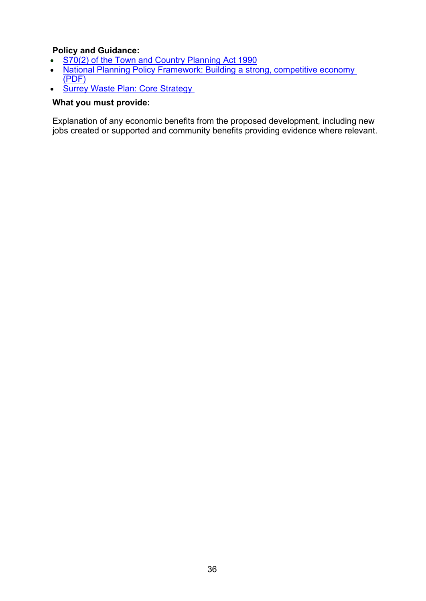# **Policy and Guidance:**<br>• S70(2) of the Town a

- S70(2) [of the Town and Country Planning Act 1990](http://www.legislation.gov.uk/ukpga/1990/8/section/70)<br>• National Planning Policy Framework: Building a stro
- **Example 2018** National Planning Policy Framework: Building a strong, competitive economy [\(PDF\)](https://assets.publishing.service.gov.uk/government/uploads/system/uploads/attachment_data/file/810197/NPPF_Feb_2019_revised.pdf)
- Surrey Waste Plan: Core Strategy

#### **What you must provide:**

Explanation of any economic benefits from the proposed development, including new jobs created or supported and community benefits providing evidence where relevant.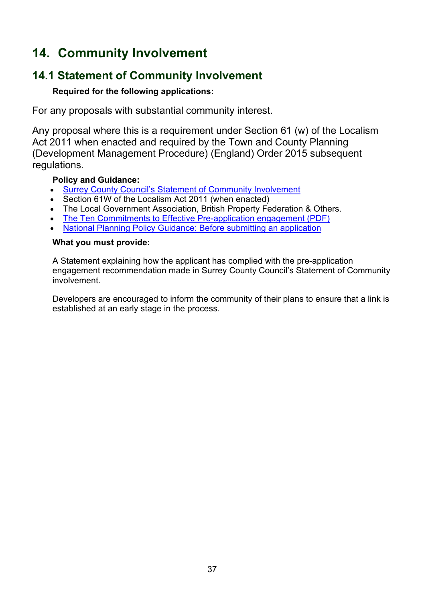# <span id="page-36-0"></span>**14. Community Involvement**

# <span id="page-36-1"></span>**14.1 Statement of Community Involvement**

#### **Required for the following applications:**

For any proposals with substantial community interest.

Any proposal where this is a requirement under Section 61 (w) of the Localism Act 2011 when enacted and required by the Town and County Planning (Development Management Procedure) (England) Order 2015 subsequent regulations.

#### **Policy and Guidance:**

- [Surrey County Council's Statement of Community Involvement](https://www.surreycc.gov.uk/land-planning-and-development/minerals-and-waste/statement-of-community-involvement)
- Section 61W of the Localism Act 2011 (when enacted)
- The Local Government Association, British Property Federation & Others.
- [The Ten Commitments to Effective Pre-application engagement \(PDF\)](http://www.rtpi.org.uk/media/844002/10%20commitments%20for%20effective%20pre-application%20engagement.pdf)
- [National Planning Policy Guidance: Before submitting an application](http://planningguidance.planningportal.gov.uk/blog/guidance/before-submitting-an-application/)

#### **What you must provide:**

A Statement explaining how the applicant has complied with the pre-application engagement recommendation made in Surrey County Council's Statement of Community involvement.

Developers are encouraged to inform the community of their plans to ensure that a link is established at an early stage in the process.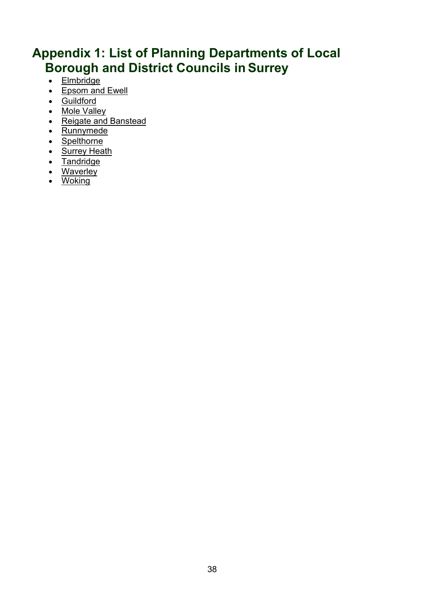# <span id="page-37-0"></span>**Appendix 1: List of Planning Departments of Local Borough and District Councils in Surrey**

- [Elmbridge](http://www.elmbridge.gov.uk/planning/)
- [Epsom and Ewell](http://www.epsom-ewell.gov.uk/planning-applications)
- [Guildford](https://www.guildford.gov.uk/planningservices)
- Mole [Valley](http://www.mole-valley.gov.uk/index.cfm?articleid=16303)
- [Reigate and](https://www.reigate-banstead.gov.uk/info/20043/planning?oldUrl) Banstead
- [Runnymede](https://www.runnymede.gov.uk/article/13814/Planning-and-Building-Control)
- [Spelthorne](https://www.spelthorne.gov.uk/planning)
- [Surrey](http://www.surreyheath.gov.uk/planning) Heath
- [Tandridge](https://www.tandridge.gov.uk/Planning-and-building/Planning-applications-and-enforcement)
- [Waverley](http://www.waverley.gov.uk/planning)
- [Woking](https://www.woking.gov.uk/planning)